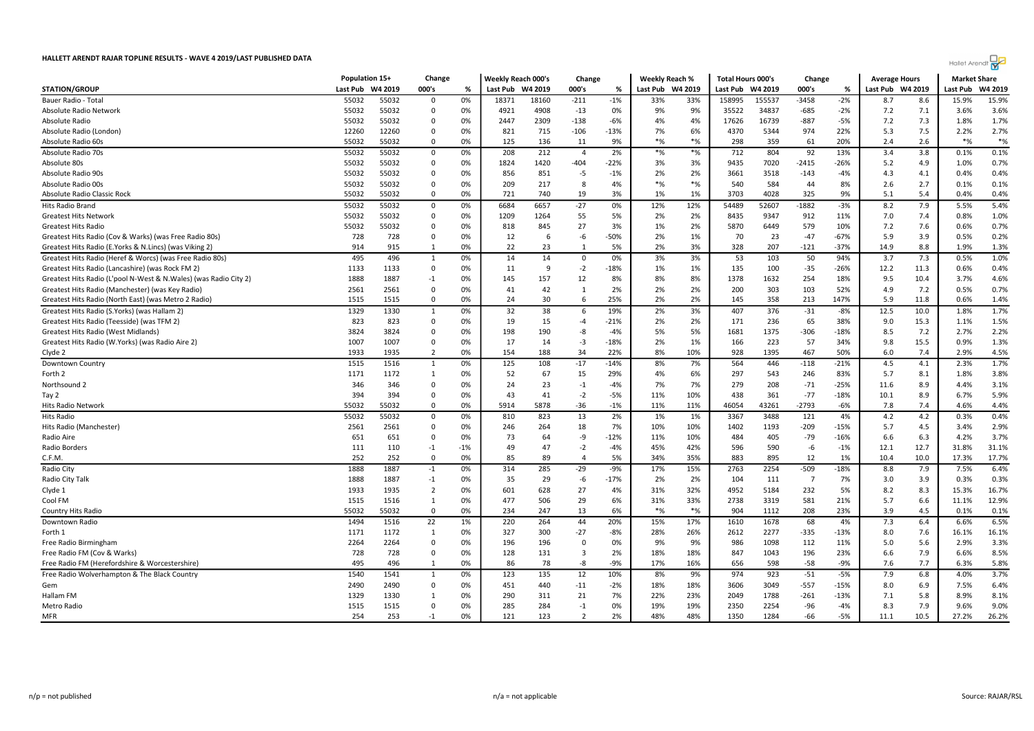|                                                                  | Population 15+ |         | Change         |       | <b>Weekly Reach 000's</b> |         | Change                  |        | <b>Weekly Reach %</b> |          | <b>Total Hours 000's</b> |         | Change         |        | <b>Average Hours</b> |         | <b>Market Share</b> |         |
|------------------------------------------------------------------|----------------|---------|----------------|-------|---------------------------|---------|-------------------------|--------|-----------------------|----------|--------------------------|---------|----------------|--------|----------------------|---------|---------------------|---------|
| <b>STATION/GROUP</b>                                             | Last Pub       | W4 2019 | 000's          | %     | Last Pub                  | W4 2019 | 000's                   | %      | Last Pub              | W4 2019  | Last Pub                 | W4 2019 | 000's          | %      | Last Pub             | W4 2019 | Last Pub            | W4 2019 |
| Bauer Radio - Total                                              | 55032          | 55032   | $\Omega$       | 0%    | 18371                     | 18160   | $-211$                  | $-1%$  | 33%                   | 33%      | 158995                   | 155537  | $-3458$        | $-2%$  | 8.7                  | 8.6     | 15.9%               | 15.9%   |
| Absolute Radio Network                                           | 55032          | 55032   | $\overline{0}$ | 0%    | 4921                      | 4908    | $-13$                   | 0%     | 9%                    | 9%       | 35522                    | 34837   | $-685$         | $-2%$  | 7.2                  | 7.1     | 3.6%                | 3.6%    |
| Absolute Radio                                                   | 55032          | 55032   | - 0            | 0%    | 2447                      | 2309    | $-138$                  | $-6%$  | 4%                    | 4%       | 17626                    | 16739   | $-887$         | $-5%$  | 7.2                  | 7.3     | 1.8%                | 1.7%    |
| Absolute Radio (London)                                          | 12260          | 12260   | $\Omega$       | 0%    | 821                       | 715     | $-106$                  | $-13%$ | 7%                    | 6%       | 4370                     | 5344    | 974            | 22%    | 5.3                  | 7.5     | 2.2%                | 2.7%    |
| Absolute Radio 60s                                               | 55032          | 55032   | $\overline{0}$ | 0%    | 125                       | 136     | 11                      | 9%     | $*$ %                 | $*$ %    | 298                      | 359     | 61             | 20%    | 2.4                  | 2.6     | $*$ %               | $*$ %   |
| Absolute Radio 70s                                               | 55032          | 55032   | 0              | 0%    | 208                       | 212     | $\overline{4}$          | 2%     | $*$ %                 | $*$ %    | 712                      | 804     | 92             | 13%    | 3.4                  | 3.8     | 0.1%                | 0.1%    |
| Absolute 80s                                                     | 55032          | 55032   | 0              | 0%    | 1824                      | 1420    | $-404$                  | $-22%$ | 3%                    | 3%       | 9435                     | 7020    | $-2415$        | -26%   | 5.2                  | 4.9     | 1.0%                | 0.7%    |
| Absolute Radio 90s                                               | 55032          | 55032   | $\Omega$       | 0%    | 856                       | 851     | -5                      | $-1%$  | 2%                    | 2%       | 3661                     | 3518    | $-143$         | $-4%$  | 4.3                  | 4.1     | 0.4%                | 0.4%    |
| Absolute Radio 00s                                               | 55032          | 55032   | $\overline{0}$ | 0%    | 209                       | 217     | -8                      | 4%     | $*$ %                 | $*_{\%}$ | 540                      | 584     | 44             | 8%     | 2.6                  | 2.7     | 0.1%                | 0.1%    |
| Absolute Radio Classic Rock                                      | 55032          | 55032   | 0              | 0%    | 721                       | 740     | 19                      | 3%     | 1%                    | 1%       | 3703                     | 4028    | 325            | 9%     | 5.1                  | 5.4     | 0.4%                | 0.4%    |
| Hits Radio Brand                                                 | 55032          | 55032   | 0              | 0%    | 6684                      | 6657    | $-27$                   | 0%     | 12%                   | 12%      | 54489                    | 52607   | $-1882$        | $-3%$  | 8.2                  | 7.9     | 5.5%                | 5.4%    |
| <b>Greatest Hits Network</b>                                     | 55032          | 55032   | 0              | 0%    | 1209                      | 1264    | 55                      | 5%     | 2%                    | 2%       | 8435                     | 9347    | 912            | 11%    | 7.0                  | 7.4     | 0.8%                | 1.0%    |
| <b>Greatest Hits Radio</b>                                       | 55032          | 55032   | $\Omega$       | 0%    | 818                       | 845     | 27                      | 3%     | 1%                    | 2%       | 5870                     | 6449    | 579            | 10%    | 7.2                  | 7.6     | 0.6%                | 0.7%    |
| Greatest Hits Radio (Cov & Warks) (was Free Radio 80s)           | 728            | 728     | $\overline{0}$ | 0%    | 12                        | 6       | -6                      | $-50%$ | 2%                    | 1%       | 70                       | 23      | $-47$          | $-67%$ | 5.9                  | 3.9     | 0.5%                | 0.2%    |
| Greatest Hits Radio (E.Yorks & N.Lincs) (was Viking 2)           | 914            | 915     | 1              | 0%    | 22                        | 23      | $\overline{1}$          | 5%     | 2%                    | 3%       | 328                      | 207     | $-121$         | $-37%$ | 14.9                 | 8.8     | 1.9%                | 1.3%    |
| Greatest Hits Radio (Heref & Worcs) (was Free Radio 80s)         | 495            | 496     | $\mathbf{1}$   | 0%    | 14                        | 14      | $\mathbf 0$             | 0%     | 3%                    | 3%       | 53                       | 103     | 50             | 94%    | 3.7                  | 7.3     | 0.5%                | 1.0%    |
| Greatest Hits Radio (Lancashire) (was Rock FM 2)                 | 1133           | 1133    | 0              | 0%    | 11                        | 9       | $-2$                    | $-18%$ | 1%                    | 1%       | 135                      | 100     | $-35$          | -26%   | 12.2                 | 11.3    | 0.6%                | 0.4%    |
| Greatest Hits Radio (L'pool N-West & N.Wales) (was Radio City 2) | 1888           | 1887    | $-1$           | 0%    | 145                       | 157     | 12                      | 8%     | 8%                    | 8%       | 1378                     | 1632    | 254            | 18%    | 9.5                  | 10.4    | 3.7%                | 4.6%    |
| Greatest Hits Radio (Manchester) (was Key Radio)                 | 2561           | 2561    | $\Omega$       | 0%    | 41                        | 42      | $\mathbf{1}$            | 2%     | 2%                    | 2%       | 200                      | 303     | 103            | 52%    | 4.9                  | 7.2     | 0.5%                | 0.7%    |
| Greatest Hits Radio (North East) (was Metro 2 Radio)             | 1515           | 1515    | $^{\circ}$     | 0%    | 24                        | 30      | 6                       | 25%    | 2%                    | 2%       | 145                      | 358     | 213            | 147%   | 5.9                  | 11.8    | 0.6%                | 1.4%    |
| Greatest Hits Radio (S.Yorks) (was Hallam 2)                     | 1329           | 1330    | $\mathbf{1}$   | 0%    | 32                        | 38      | 6                       | 19%    | 2%                    | 3%       | 407                      | 376     | $-31$          | $-8%$  | 12.5                 | 10.0    | 1.8%                | 1.7%    |
| Greatest Hits Radio (Teesside) (was TFM 2)                       | 823            | 823     | $\mathbf 0$    | 0%    | 19                        | 15      | $-4$                    | $-21%$ | 2%                    | 2%       | 171                      | 236     | 65             | 38%    | 9.0                  | 15.3    | 1.1%                | 1.5%    |
| Greatest Hits Radio (West Midlands)                              | 3824           | 3824    | $\Omega$       | 0%    | 198                       | 190     | -8                      | $-4%$  | 5%                    | 5%       | 1681                     | 1375    | $-306$         | $-18%$ | 8.5                  | 7.2     | 2.7%                | 2.2%    |
| Greatest Hits Radio (W.Yorks) (was Radio Aire 2)                 | 1007           | 1007    | 0              | 0%    | 17                        | 14      | $-3$                    | $-18%$ | 2%                    | 1%       | 166                      | 223     | 57             | 34%    | 9.8                  | 15.5    | 0.9%                | 1.3%    |
| Clyde 2                                                          | 1933           | 1935    | $\overline{2}$ | 0%    | 154                       | 188     | 34                      | 22%    | 8%                    | 10%      | 928                      | 1395    | 467            | 50%    | 6.0                  | 7.4     | 2.9%                | 4.5%    |
| Downtown Country                                                 | 1515           | 1516    | 1              | 0%    | 125                       | 108     | $-17$                   | $-14%$ | 8%                    | 7%       | 564                      | 446     | $-118$         | $-21%$ | 4.5                  | 4.1     | 2.3%                | 1.7%    |
| Forth 2                                                          | 1171           | 1172    | 1              | 0%    | 52                        | 67      | 15                      | 29%    | 4%                    | 6%       | 297                      | 543     | 246            | 83%    | 5.7                  | 8.1     | 1.8%                | 3.8%    |
| Northsound 2                                                     | 346            | 346     | $\Omega$       | 0%    | 24                        | 23      | $-1$                    | $-4%$  | 7%                    | 7%       | 279                      | 208     | $-71$          | $-25%$ | 11.6                 | 8.9     | 4.4%                | 3.1%    |
| Tay 2                                                            | 394            | 394     | $^{\circ}$     | 0%    | 43                        | 41      | $-2$                    | $-5%$  | 11%                   | 10%      | 438                      | 361     | $-77$          | $-18%$ | 10.1                 | 8.9     | 6.7%                | 5.9%    |
| Hits Radio Network                                               | 55032          | 55032   | 0              | 0%    | 5914                      | 5878    | $-36$                   | $-1%$  | 11%                   | 11%      | 46054                    | 43261   | $-2793$        | -6%    | 7.8                  | 7.4     | 4.6%                | 4.4%    |
| Hits Radio                                                       | 55032          | 55032   | 0              | 0%    | 810                       | 823     | 13                      | 2%     | 1%                    | 1%       | 3367                     | 3488    | 121            | 4%     | 4.2                  | 4.2     | 0.3%                | 0.4%    |
| Hits Radio (Manchester)                                          | 2561           | 2561    | $\mathbf 0$    | 0%    | 246                       | 264     | 18                      | 7%     | 10%                   | 10%      | 1402                     | 1193    | $-209$         | $-15%$ | 5.7                  | 4.5     | 3.4%                | 2.9%    |
| Radio Aire                                                       | 651            | 651     | $\overline{0}$ | 0%    | 73                        | 64      | -9                      | $-12%$ | 11%                   | 10%      | 484                      | 405     | $-79$          | $-16%$ | 6.6                  | 6.3     | 4.2%                | 3.7%    |
| Radio Borders                                                    | 111            | 110     | $-1$           | $-1%$ | 49                        | 47      | $-2$                    | $-4%$  | 45%                   | 42%      | 596                      | 590     | -6             | $-1%$  | 12.1                 | 12.7    | 31.8%               | 31.1%   |
| C.F.M.                                                           | 252            | 252     | 0              | 0%    | 85                        | 89      | $\overline{4}$          | 5%     | 34%                   | 35%      | 883                      | 895     | 12             | 1%     | 10.4                 | 10.0    | 17.3%               | 17.7%   |
| Radio City                                                       | 1888           | 1887    | $-1$           | 0%    | 314                       | 285     | $-29$                   | $-9%$  | 17%                   | 15%      | 2763                     | 2254    | $-509$         | $-18%$ | 8.8                  | 7.9     | 7.5%                | 6.4%    |
| Radio City Talk                                                  | 1888           | 1887    | $-1$           | 0%    | 35                        | 29      | $-6$                    | $-17%$ | 2%                    | 2%       | 104                      | 111     | $\overline{7}$ | 7%     | 3.0                  | 3.9     | 0.3%                | 0.3%    |
| Clyde 1                                                          | 1933           | 1935    | $\overline{2}$ | 0%    | 601                       | 628     | 27                      | 4%     | 31%                   | 32%      | 4952                     | 5184    | 232            | 5%     | 8.2                  | 8.3     | 15.3%               | 16.7%   |
| Cool FM                                                          | 1515           | 1516    | $\mathbf{1}$   | 0%    | 477                       | 506     | 29                      | 6%     | 31%                   | 33%      | 2738                     | 3319    | 581            | 21%    | 5.7                  | 6.6     | 11.1%               | 12.9%   |
| Country Hits Radio                                               | 55032          | 55032   | 0              | 0%    | 234                       | 247     | 13                      | 6%     | $*$ %                 | $*$ %    | 904                      | 1112    | 208            | 23%    | 3.9                  | 4.5     | 0.1%                | 0.1%    |
| Downtown Radio                                                   | 1494           | 1516    | 22             | 1%    | 220                       | 264     | 44                      | 20%    | 15%                   | 17%      | 1610                     | 1678    | 68             | 4%     | 7.3                  | 6.4     | 6.6%                | 6.5%    |
| Forth 1                                                          | 1171           | 1172    | $\mathbf{1}$   | 0%    | 327                       | 300     | $-27$                   | $-8%$  | 28%                   | 26%      | 2612                     | 2277    | $-335$         | $-13%$ | 8.0                  | 7.6     | 16.1%               | 16.1%   |
| Free Radio Birmingham                                            | 2264           | 2264    | $\overline{0}$ | 0%    | 196                       | 196     | $\overline{0}$          | 0%     | 9%                    | 9%       | 986                      | 1098    | 112            | 11%    | 5.0                  | 5.6     | 2.9%                | 3.3%    |
| Free Radio FM (Cov & Warks)                                      | 728            | 728     | $\overline{0}$ | 0%    | 128                       | 131     | 3                       | 2%     | 18%                   | 18%      | 847                      | 1043    | 196            | 23%    | 6.6                  | 7.9     | 6.6%                | 8.5%    |
| Free Radio FM (Herefordshire & Worcestershire)                   | 495            | 496     | 1              | 0%    | 86                        | 78      | -8                      | $-9%$  | 17%                   | 16%      | 656                      | 598     | $-58$          | -9%    | 7.6                  | 7.7     | 6.3%                | 5.8%    |
| Free Radio Wolverhampton & The Black Country                     | 1540           | 1541    | $\mathbf{1}$   | 0%    | 123                       | 135     | 12                      | 10%    | 8%                    | 9%       | 974                      | 923     | $-51$          | $-5%$  | 7.9                  | 6.8     | 4.0%                | 3.7%    |
| Gem                                                              | 2490           | 2490    | $\mathbf 0$    | 0%    | 451                       | 440     | $-11$                   | $-2%$  | 18%                   | 18%      | 3606                     | 3049    | $-557$         | $-15%$ | 8.0                  | 6.9     | 7.5%                | 6.4%    |
| Hallam FM                                                        | 1329           | 1330    | 1              | 0%    | 290                       | 311     | 21                      | 7%     | 22%                   | 23%      | 2049                     | 1788    | $-261$         | -13%   | 7.1                  | 5.8     | 8.9%                | 8.1%    |
| Metro Radio                                                      | 1515           | 1515    | 0              | 0%    | 285                       | 284     | $-1$                    | 0%     | 19%                   | 19%      | 2350                     | 2254    | $-96$          | $-4%$  | 8.3                  | 7.9     | 9.6%                | 9.0%    |
| MFR                                                              | 254            | 253     | $-1$           | 0%    | 121                       | 123     | $\overline{\mathbf{z}}$ | 2%     | 48%                   | 48%      | 1350                     | 1284    | $-66$          | $-5%$  | 11.1                 | 10.5    | 27.2%               | 26.2%   |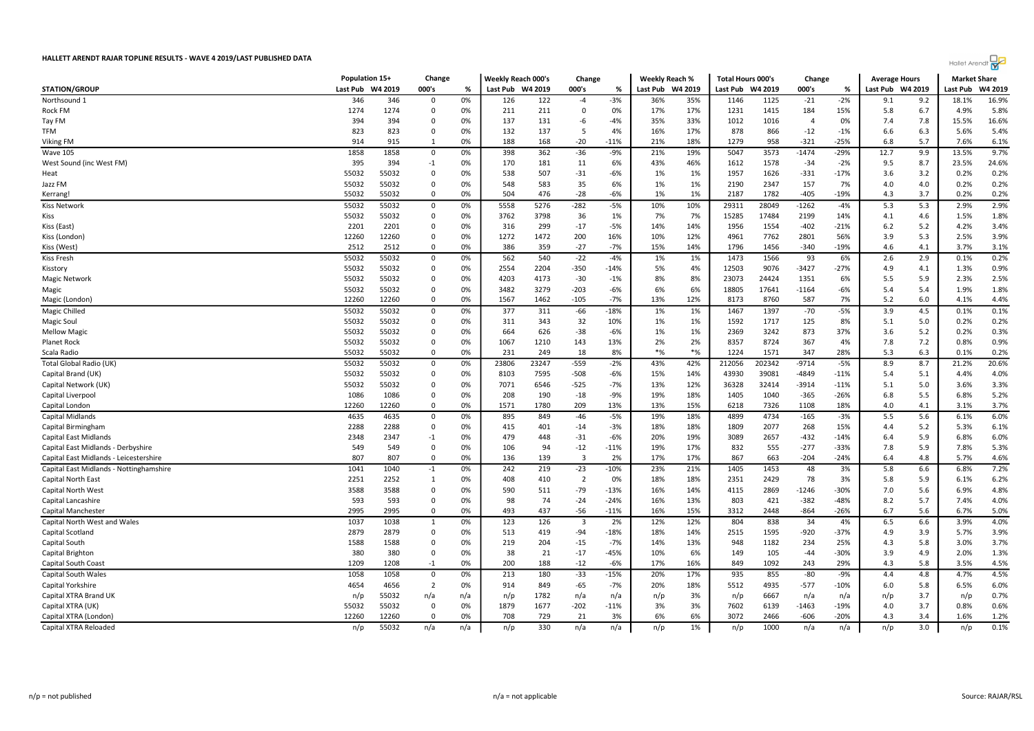

| 000's<br>000's<br>000's<br>Last Pub<br>W4 2019<br>Last Pub<br>W4 2019<br>%<br>Last Pub<br>W4 2019<br>Last Pub<br>W4 2019<br>%<br>Last Pub W4 2019<br>Last Pub<br>W4 2019<br>℀<br>0%<br>$-21$<br>$-2%$<br>18.1%<br>16.9%<br>346<br>346<br>126<br>122<br>$-3%$<br>36%<br>35%<br>1146<br>1125<br>9.2<br>$\mathbf 0$<br>$-4$<br>9.1<br>1274<br>1274<br>211<br>0%<br>17%<br>1231<br>1415<br>15%<br>4.9%<br>5.8%<br>$\mathbf 0$<br>0%<br>211<br>0<br>17%<br>184<br>5.8<br>6.7<br>16.6%<br>394<br>394<br>0%<br>137<br>131<br>$-4%$<br>35%<br>33%<br>1012<br>1016<br>7.4<br>15.5%<br>$\mathbf 0$<br>-6<br>$\overline{4}$<br>0%<br>7.8<br>823<br>823<br>0%<br>132<br>137<br>4%<br>16%<br>17%<br>878<br>866<br>5.6%<br>5.4%<br>$\mathbf 0$<br>5<br>$-12$<br>$-1%$<br>6.6<br>6.3<br>188<br>168<br>$-20$<br>18%<br>958<br>$-321$<br>5.7<br>6.1%<br>914<br>915<br>1<br>0%<br>$-11%$<br>21%<br>1279<br>$-25%$<br>6.8<br>7.6%<br>9.7%<br>1858<br>$-36$<br>19%<br>5047<br>3573<br>$-1474$<br>13.5%<br>1858<br>0<br>0%<br>398<br>362<br>-9%<br>21%<br>$-29%$<br>12.7<br>9.9<br>395<br>394<br>$-1$<br>0%<br>170<br>181<br>11<br>6%<br>43%<br>46%<br>1612<br>1578<br>$-34$<br>$-2%$<br>9.5<br>8.7<br>23.5%<br>24.6%<br>507<br>0.2%<br>55032<br>55032<br>$\mathbf 0$<br>0%<br>538<br>$-31$<br>$-6%$<br>1%<br>1%<br>1957<br>1626<br>$-331$<br>$-17%$<br>3.6<br>3.2<br>0.2%<br>35<br>0.2%<br>55032<br>55032<br>583<br>6%<br>1%<br>1%<br>2190<br>2347<br>157<br>7%<br>0.2%<br>$\Omega$<br>0%<br>548<br>4.0<br>4.0<br>0.2%<br>55032<br>55032<br>0%<br>504<br>476<br>$-28$<br>$-6%$<br>1%<br>1%<br>2187<br>1782<br>$-405$<br>$-19%$<br>3.7<br>0.2%<br>0<br>4.3<br>Kerrang!<br>2.9%<br>55032<br>0%<br>5558<br>5276<br>$-282$<br>$-5%$<br>10%<br>10%<br>29311<br>28049<br>$-1262$<br>5.3<br>5.3<br>2.9%<br>55032<br>$-4%$<br>0<br>1.8%<br>55032<br>55032<br>0%<br>3762<br>3798<br>36<br>7%<br>7%<br>15285<br>17484<br>2199<br>14%<br>1.5%<br>0<br>1%<br>4.1<br>4.6<br>14%<br>3.4%<br>2201<br>2201<br>0<br>0%<br>316<br>299<br>$-17$<br>$-5%$<br>14%<br>1956<br>1554<br>$-402$<br>$-21%$<br>6.2<br>5.2<br>4.2%<br>200<br>12%<br>56%<br>3.9%<br>12260<br>12260<br>$\Omega$<br>0%<br>1272<br>1472<br>16%<br>10%<br>4961<br>7762<br>2801<br>3.9<br>5.3<br>2.5%<br>$-27$<br>3.1%<br>2512<br>2512<br>$\mathbf 0$<br>0%<br>386<br>359<br>$-7%$<br>15%<br>14%<br>1796<br>1456<br>$-340$<br>$-19%$<br>4.6<br>4.1<br>3.7%<br>55032<br>540<br>$-22$<br>0.2%<br>55032<br>562<br>$-4%$<br>1%<br>1%<br>1473<br>1566<br>93<br>2.6<br>2.9<br>0<br>0%<br>6%<br>0.1%<br>55032<br>12503<br>9076<br>$-3427$<br>0.9%<br>55032<br>$\mathbf 0$<br>0%<br>2554<br>2204<br>$-350$<br>$-14%$<br>5%<br>$-27%$<br>4.9<br>1.3%<br>4%<br>4.1<br>55032<br>55032<br>8%<br>23073<br>24424<br>2.5%<br>0<br>0%<br>4203<br>4173<br>$-30$<br>$-1%$<br>8%<br>1351<br>6%<br>5.5<br>5.9<br>2.3%<br>$-6%$<br>6%<br>1.8%<br>55032<br>55032<br>0%<br>3279<br>$-203$<br>6%<br>17641<br>$-6%$<br>5.4<br>$\Omega$<br>3482<br>18805<br>$-1164$<br>5.4<br>1.9%<br>4.4%<br>12260<br>12260<br>0<br>0%<br>1567<br>1462<br>$-105$<br>$-7%$<br>13%<br>12%<br>8173<br>8760<br>587<br>7%<br>5.2<br>6.0<br>4.1%<br>0.1%<br>55032<br>55032<br>377<br>$-66$<br>$-18%$<br>1397<br>$-5%$<br>4.5<br>0%<br>311<br>1%<br>1%<br>1467<br>$-70$<br>3.9<br>0.1%<br>0<br>55032<br>55032<br>0.2%<br>0%<br>343<br>32<br>1%<br>1592<br>1717<br>125<br>8%<br>5.1<br>0.2%<br>0<br>311<br>10%<br>1%<br>5.0<br>0.3%<br>55032<br>55032<br>0%<br>626<br>$-38$<br>$-6%$<br>1%<br>1%<br>2369<br>3242<br>873<br>37%<br>0.2%<br>0<br>664<br>3.6<br>5.2<br>0.9%<br>55032<br>55032<br>0%<br>1067<br>1210<br>143<br>13%<br>2%<br>2%<br>8357<br>8724<br>367<br>4%<br>7.8<br>7.2<br>0.8%<br>0<br>55032<br>55032<br>231<br>249<br>8%<br>$*_{\%}$<br>$*$ %<br>1224<br>1571<br>347<br>28%<br>5.3<br>6.3<br>0.2%<br>0<br>0%<br>18<br>0.1%<br>55032<br>23247<br>202342<br>20.6%<br>55032<br>0%<br>23806<br>$-559$<br>$-2%$<br>43%<br>42%<br>212056<br>$-9714$<br>$-5%$<br>8.9<br>8.7<br>21.2%<br>0<br>39081<br>$-4849$<br>4.0%<br>55032<br>55032<br>0<br>0%<br>8103<br>7595<br>$-508$<br>-6%<br>15%<br>14%<br>43930<br>$-11%$<br>5.4<br>5.1<br>4.4%<br>12%<br>55032<br>55032<br>0%<br>7071<br>6546<br>$-525$<br>$-7%$<br>13%<br>36328<br>32414<br>$-3914$<br>$-11%$<br>3.6%<br>3.3%<br>0<br>5.1<br>5.0<br>5.2%<br>1086<br>1086<br>0%<br>208<br>190<br>$-18$<br>$-9%$<br>19%<br>18%<br>1405<br>1040<br>$-365$<br>$-26%$<br>6.8<br>5.5<br>6.8%<br>0<br>12260<br>12260<br>0%<br>1780<br>209<br>13%<br>13%<br>15%<br>18%<br>3.7%<br>0<br>1571<br>6218<br>7326<br>1108<br>4.0<br>4.1<br>3.1%<br>4635<br>4635<br>895<br>849<br>$-5%$<br>19%<br>18%<br>4899<br>4734<br>$-165$<br>5.5<br>6.0%<br>$\mathbf 0$<br>0%<br>$-46$<br>$-3%$<br>5.6<br>6.1%<br>6.1%<br>2288<br>2288<br>0<br>0%<br>415<br>401<br>$-14$<br>-3%<br>18%<br>18%<br>1809<br>2077<br>268<br>15%<br>5.2<br>5.3%<br>4.4<br>$-6%$<br>19%<br>6.0%<br>2348<br>0%<br>479<br>448<br>$-31$<br>20%<br>3089<br>2657<br>$-432$<br>$-14%$<br>5.9<br>6.8%<br>2347<br>$-1$<br>6.4<br>549<br>94<br>$-12$<br>17%<br>5.3%<br>549<br>0<br>0%<br>106<br>$-11%$<br>19%<br>832<br>555<br>$-277$<br>$-33%$<br>7.8<br>5.9<br>7.8%<br>4.6%<br>807<br>807<br>$\mathbf 0$<br>0%<br>136<br>139<br>$\overline{3}$<br>2%<br>17%<br>17%<br>867<br>663<br>$-24%$<br>4.8<br>-204<br>6.4<br>5.7%<br>7.2%<br>1041<br>1040<br>242<br>219<br>$-23$<br>23%<br>21%<br>1405<br>1453<br>48<br>3%<br>5.8<br>6.6<br>6.8%<br>$-1$<br>0%<br>$-10%$<br>2251<br>2252<br>410<br>$\overline{2}$<br>18%<br>2351<br>2429<br>78<br>6.2%<br>1<br>0%<br>408<br>0%<br>18%<br>3%<br>5.8<br>5.9<br>6.1%<br>$-79$<br>4.8%<br>3588<br>3588<br>$\mathbf 0$<br>0%<br>511<br>$-13%$<br>16%<br>14%<br>4115<br>2869<br>$-1246$<br>$-30%$<br>7.0<br>6.9%<br>590<br>5.6<br>593<br>98<br>74<br>$-24$<br>$-24%$<br>13%<br>803<br>421<br>$-382$<br>$-48%$<br>4.0%<br>593<br>0<br>0%<br>16%<br>8.2<br>5.7<br>7.4%<br>437<br>$-56$<br>5.0%<br>2995<br>0%<br>493<br>16%<br>15%<br>$-864$<br>$-26%$<br>6.7<br>5.6<br>2995<br>$\mathbf 0$<br>$-11%$<br>3312<br>2448<br>6.7%<br>1037<br>1038<br>123<br>126<br>12%<br>12%<br>804<br>838<br>34<br>3.9%<br>4.0%<br>0%<br>3<br>2%<br>4%<br>6.5<br>6.6<br>1<br>3.9%<br>2879<br>2879<br>0%<br>513<br>419<br>$-94$<br>$-18%$<br>18%<br>14%<br>2515<br>1595<br>$-920$<br>$-37%$<br>4.9<br>3.9<br>5.7%<br>0<br>3.7%<br>1588<br>1588<br>0%<br>219<br>204<br>$-15$<br>$-7%$<br>14%<br>13%<br>948<br>1182<br>25%<br>4.3<br>5.8<br>3.0%<br>0<br>234<br>380<br>380<br>0%<br>38<br>21<br>$-17$<br>$-45%$<br>10%<br>6%<br>149<br>105<br>$-44$<br>$-30%$<br>3.9<br>2.0%<br>1.3%<br>$\mathbf 0$<br>4.9<br>4.5%<br>1209<br>$-1$<br>0%<br>200<br>188<br>$-12$<br>$-6%$<br>17%<br>16%<br>849<br>1092<br>243<br>29%<br>5.8<br>3.5%<br>1208<br>4.3<br>4.5%<br>1058<br>935<br>855<br>$-80$<br>1058<br>213<br>180<br>$-33$<br>$-15%$<br>20%<br>17%<br>-9%<br>4.8<br>4.7%<br>0<br>0%<br>4.4<br>4654<br>4656<br>$\overline{2}$<br>0%<br>914<br>849<br>$-65$<br>$-7%$<br>20%<br>18%<br>5512<br>4935<br>$-577$<br>$-10%$<br>5.8<br>6.5%<br>6.0%<br>6.0<br>0.7%<br>n/p<br>55032<br>1782<br>n/a<br>n/a<br>3%<br>n/p<br>6667<br>n/a<br>3.7<br>n/a<br>n/a<br>n/p<br>n/p<br>n/a<br>n/p<br>n/p<br>0.6%<br>55032<br>55032<br>0%<br>1677<br>$-19%$<br>0.8%<br>$\mathbf 0$<br>1879<br>$-202$<br>$-11%$<br>3%<br>3%<br>7602<br>6139<br>$-1463$<br>4.0<br>3.7<br>1.2%<br>12260<br>12260<br>$\Omega$<br>0%<br>708<br>729<br>21<br>3%<br>6%<br>6%<br>3072<br>2466<br>-606<br>-20%<br>3.4<br>1.6%<br>4.3<br>0.1%<br>55032<br>330<br>n/p<br>n/a<br>n/a<br>1%<br>1000<br>n/a<br>3.0<br>n/p<br>n/p<br>n/a<br>n/a<br>n/p<br>n/p<br>n/a<br>n/p |                                         | Population 15+ | Change | <b>Weekly Reach 000's</b> | Change | <b>Weekly Reach %</b> | Total Hours 000's | Change | <b>Average Hours</b> | <b>Market Share</b> |  |
|--------------------------------------------------------------------------------------------------------------------------------------------------------------------------------------------------------------------------------------------------------------------------------------------------------------------------------------------------------------------------------------------------------------------------------------------------------------------------------------------------------------------------------------------------------------------------------------------------------------------------------------------------------------------------------------------------------------------------------------------------------------------------------------------------------------------------------------------------------------------------------------------------------------------------------------------------------------------------------------------------------------------------------------------------------------------------------------------------------------------------------------------------------------------------------------------------------------------------------------------------------------------------------------------------------------------------------------------------------------------------------------------------------------------------------------------------------------------------------------------------------------------------------------------------------------------------------------------------------------------------------------------------------------------------------------------------------------------------------------------------------------------------------------------------------------------------------------------------------------------------------------------------------------------------------------------------------------------------------------------------------------------------------------------------------------------------------------------------------------------------------------------------------------------------------------------------------------------------------------------------------------------------------------------------------------------------------------------------------------------------------------------------------------------------------------------------------------------------------------------------------------------------------------------------------------------------------------------------------------------------------------------------------------------------------------------------------------------------------------------------------------------------------------------------------------------------------------------------------------------------------------------------------------------------------------------------------------------------------------------------------------------------------------------------------------------------------------------------------------------------------------------------------------------------------------------------------------------------------------------------------------------------------------------------------------------------------------------------------------------------------------------------------------------------------------------------------------------------------------------------------------------------------------------------------------------------------------------------------------------------------------------------------------------------------------------------------------------------------------------------------------------------------------------------------------------------------------------------------------------------------------------------------------------------------------------------------------------------------------------------------------------------------------------------------------------------------------------------------------------------------------------------------------------------------------------------------------------------------------------------------------------------------------------------------------------------------------------------------------------------------------------------------------------------------------------------------------------------------------------------------------------------------------------------------------------------------------------------------------------------------------------------------------------------------------------------------------------------------------------------------------------------------------------------------------------------------------------------------------------------------------------------------------------------------------------------------------------------------------------------------------------------------------------------------------------------------------------------------------------------------------------------------------------------------------------------------------------------------------------------------------------------------------------------------------------------------------------------------------------------------------------------------------------------------------------------------------------------------------------------------------------------------------------------------------------------------------------------------------------------------------------------------------------------------------------------------------------------------------------------------------------------------------------------------------------------------------------------------------------------------------------------------------------------------------------------------------------------------------------------------------------------------------------------------------------------------------------------------------------------------------------------------------------------------------------------------------------------------------------------------------------------------------------------------------------------------------------------------------------------------------------------------------------------------------------------------------------------------------------------------------------------------------------------------------------------------------------------------------------------------------------------------------------------------------------------------------------------------------------------------------------------------------------------------------------------------------------------------------------------------------------------------------------------------------------------------------------------------------------------------------------------------------------------------------------------------------------------------------------------------------------------------------------------------------------------------------------------------------------------------------------------------------------------------------------------------------------------------------------------------------------------------------------------------------------------------------------------------------------------------------------------------------------------------------------------------------------------------|-----------------------------------------|----------------|--------|---------------------------|--------|-----------------------|-------------------|--------|----------------------|---------------------|--|
|                                                                                                                                                                                                                                                                                                                                                                                                                                                                                                                                                                                                                                                                                                                                                                                                                                                                                                                                                                                                                                                                                                                                                                                                                                                                                                                                                                                                                                                                                                                                                                                                                                                                                                                                                                                                                                                                                                                                                                                                                                                                                                                                                                                                                                                                                                                                                                                                                                                                                                                                                                                                                                                                                                                                                                                                                                                                                                                                                                                                                                                                                                                                                                                                                                                                                                                                                                                                                                                                                                                                                                                                                                                                                                                                                                                                                                                                                                                                                                                                                                                                                                                                                                                                                                                                                                                                                                                                                                                                                                                                                                                                                                                                                                                                                                                                                                                                                                                                                                                                                                                                                                                                                                                                                                                                                                                                                                                                                                                                                                                                                                                                                                                                                                                                                                                                                                                                                                                                                                                                                                                                                                                                                                                                                                                                                                                                                                                                                                                                                                                                                                                                                                                                                                                                                                                                                                                                                                                                                                                                                                                                                                                                                                                                                                                                                                                                                                                                                                                                                                                                                                                                        | <b>STATION/GROUP</b>                    |                |        |                           |        |                       |                   |        |                      |                     |  |
|                                                                                                                                                                                                                                                                                                                                                                                                                                                                                                                                                                                                                                                                                                                                                                                                                                                                                                                                                                                                                                                                                                                                                                                                                                                                                                                                                                                                                                                                                                                                                                                                                                                                                                                                                                                                                                                                                                                                                                                                                                                                                                                                                                                                                                                                                                                                                                                                                                                                                                                                                                                                                                                                                                                                                                                                                                                                                                                                                                                                                                                                                                                                                                                                                                                                                                                                                                                                                                                                                                                                                                                                                                                                                                                                                                                                                                                                                                                                                                                                                                                                                                                                                                                                                                                                                                                                                                                                                                                                                                                                                                                                                                                                                                                                                                                                                                                                                                                                                                                                                                                                                                                                                                                                                                                                                                                                                                                                                                                                                                                                                                                                                                                                                                                                                                                                                                                                                                                                                                                                                                                                                                                                                                                                                                                                                                                                                                                                                                                                                                                                                                                                                                                                                                                                                                                                                                                                                                                                                                                                                                                                                                                                                                                                                                                                                                                                                                                                                                                                                                                                                                                                        | Northsound 1                            |                |        |                           |        |                       |                   |        |                      |                     |  |
|                                                                                                                                                                                                                                                                                                                                                                                                                                                                                                                                                                                                                                                                                                                                                                                                                                                                                                                                                                                                                                                                                                                                                                                                                                                                                                                                                                                                                                                                                                                                                                                                                                                                                                                                                                                                                                                                                                                                                                                                                                                                                                                                                                                                                                                                                                                                                                                                                                                                                                                                                                                                                                                                                                                                                                                                                                                                                                                                                                                                                                                                                                                                                                                                                                                                                                                                                                                                                                                                                                                                                                                                                                                                                                                                                                                                                                                                                                                                                                                                                                                                                                                                                                                                                                                                                                                                                                                                                                                                                                                                                                                                                                                                                                                                                                                                                                                                                                                                                                                                                                                                                                                                                                                                                                                                                                                                                                                                                                                                                                                                                                                                                                                                                                                                                                                                                                                                                                                                                                                                                                                                                                                                                                                                                                                                                                                                                                                                                                                                                                                                                                                                                                                                                                                                                                                                                                                                                                                                                                                                                                                                                                                                                                                                                                                                                                                                                                                                                                                                                                                                                                                                        | Rock FM                                 |                |        |                           |        |                       |                   |        |                      |                     |  |
|                                                                                                                                                                                                                                                                                                                                                                                                                                                                                                                                                                                                                                                                                                                                                                                                                                                                                                                                                                                                                                                                                                                                                                                                                                                                                                                                                                                                                                                                                                                                                                                                                                                                                                                                                                                                                                                                                                                                                                                                                                                                                                                                                                                                                                                                                                                                                                                                                                                                                                                                                                                                                                                                                                                                                                                                                                                                                                                                                                                                                                                                                                                                                                                                                                                                                                                                                                                                                                                                                                                                                                                                                                                                                                                                                                                                                                                                                                                                                                                                                                                                                                                                                                                                                                                                                                                                                                                                                                                                                                                                                                                                                                                                                                                                                                                                                                                                                                                                                                                                                                                                                                                                                                                                                                                                                                                                                                                                                                                                                                                                                                                                                                                                                                                                                                                                                                                                                                                                                                                                                                                                                                                                                                                                                                                                                                                                                                                                                                                                                                                                                                                                                                                                                                                                                                                                                                                                                                                                                                                                                                                                                                                                                                                                                                                                                                                                                                                                                                                                                                                                                                                                        | Tay FM                                  |                |        |                           |        |                       |                   |        |                      |                     |  |
|                                                                                                                                                                                                                                                                                                                                                                                                                                                                                                                                                                                                                                                                                                                                                                                                                                                                                                                                                                                                                                                                                                                                                                                                                                                                                                                                                                                                                                                                                                                                                                                                                                                                                                                                                                                                                                                                                                                                                                                                                                                                                                                                                                                                                                                                                                                                                                                                                                                                                                                                                                                                                                                                                                                                                                                                                                                                                                                                                                                                                                                                                                                                                                                                                                                                                                                                                                                                                                                                                                                                                                                                                                                                                                                                                                                                                                                                                                                                                                                                                                                                                                                                                                                                                                                                                                                                                                                                                                                                                                                                                                                                                                                                                                                                                                                                                                                                                                                                                                                                                                                                                                                                                                                                                                                                                                                                                                                                                                                                                                                                                                                                                                                                                                                                                                                                                                                                                                                                                                                                                                                                                                                                                                                                                                                                                                                                                                                                                                                                                                                                                                                                                                                                                                                                                                                                                                                                                                                                                                                                                                                                                                                                                                                                                                                                                                                                                                                                                                                                                                                                                                                                        | TFM                                     |                |        |                           |        |                       |                   |        |                      |                     |  |
|                                                                                                                                                                                                                                                                                                                                                                                                                                                                                                                                                                                                                                                                                                                                                                                                                                                                                                                                                                                                                                                                                                                                                                                                                                                                                                                                                                                                                                                                                                                                                                                                                                                                                                                                                                                                                                                                                                                                                                                                                                                                                                                                                                                                                                                                                                                                                                                                                                                                                                                                                                                                                                                                                                                                                                                                                                                                                                                                                                                                                                                                                                                                                                                                                                                                                                                                                                                                                                                                                                                                                                                                                                                                                                                                                                                                                                                                                                                                                                                                                                                                                                                                                                                                                                                                                                                                                                                                                                                                                                                                                                                                                                                                                                                                                                                                                                                                                                                                                                                                                                                                                                                                                                                                                                                                                                                                                                                                                                                                                                                                                                                                                                                                                                                                                                                                                                                                                                                                                                                                                                                                                                                                                                                                                                                                                                                                                                                                                                                                                                                                                                                                                                                                                                                                                                                                                                                                                                                                                                                                                                                                                                                                                                                                                                                                                                                                                                                                                                                                                                                                                                                                        | Viking FM                               |                |        |                           |        |                       |                   |        |                      |                     |  |
|                                                                                                                                                                                                                                                                                                                                                                                                                                                                                                                                                                                                                                                                                                                                                                                                                                                                                                                                                                                                                                                                                                                                                                                                                                                                                                                                                                                                                                                                                                                                                                                                                                                                                                                                                                                                                                                                                                                                                                                                                                                                                                                                                                                                                                                                                                                                                                                                                                                                                                                                                                                                                                                                                                                                                                                                                                                                                                                                                                                                                                                                                                                                                                                                                                                                                                                                                                                                                                                                                                                                                                                                                                                                                                                                                                                                                                                                                                                                                                                                                                                                                                                                                                                                                                                                                                                                                                                                                                                                                                                                                                                                                                                                                                                                                                                                                                                                                                                                                                                                                                                                                                                                                                                                                                                                                                                                                                                                                                                                                                                                                                                                                                                                                                                                                                                                                                                                                                                                                                                                                                                                                                                                                                                                                                                                                                                                                                                                                                                                                                                                                                                                                                                                                                                                                                                                                                                                                                                                                                                                                                                                                                                                                                                                                                                                                                                                                                                                                                                                                                                                                                                                        | <b>Wave 105</b>                         |                |        |                           |        |                       |                   |        |                      |                     |  |
|                                                                                                                                                                                                                                                                                                                                                                                                                                                                                                                                                                                                                                                                                                                                                                                                                                                                                                                                                                                                                                                                                                                                                                                                                                                                                                                                                                                                                                                                                                                                                                                                                                                                                                                                                                                                                                                                                                                                                                                                                                                                                                                                                                                                                                                                                                                                                                                                                                                                                                                                                                                                                                                                                                                                                                                                                                                                                                                                                                                                                                                                                                                                                                                                                                                                                                                                                                                                                                                                                                                                                                                                                                                                                                                                                                                                                                                                                                                                                                                                                                                                                                                                                                                                                                                                                                                                                                                                                                                                                                                                                                                                                                                                                                                                                                                                                                                                                                                                                                                                                                                                                                                                                                                                                                                                                                                                                                                                                                                                                                                                                                                                                                                                                                                                                                                                                                                                                                                                                                                                                                                                                                                                                                                                                                                                                                                                                                                                                                                                                                                                                                                                                                                                                                                                                                                                                                                                                                                                                                                                                                                                                                                                                                                                                                                                                                                                                                                                                                                                                                                                                                                                        | West Sound (inc West FM)                |                |        |                           |        |                       |                   |        |                      |                     |  |
|                                                                                                                                                                                                                                                                                                                                                                                                                                                                                                                                                                                                                                                                                                                                                                                                                                                                                                                                                                                                                                                                                                                                                                                                                                                                                                                                                                                                                                                                                                                                                                                                                                                                                                                                                                                                                                                                                                                                                                                                                                                                                                                                                                                                                                                                                                                                                                                                                                                                                                                                                                                                                                                                                                                                                                                                                                                                                                                                                                                                                                                                                                                                                                                                                                                                                                                                                                                                                                                                                                                                                                                                                                                                                                                                                                                                                                                                                                                                                                                                                                                                                                                                                                                                                                                                                                                                                                                                                                                                                                                                                                                                                                                                                                                                                                                                                                                                                                                                                                                                                                                                                                                                                                                                                                                                                                                                                                                                                                                                                                                                                                                                                                                                                                                                                                                                                                                                                                                                                                                                                                                                                                                                                                                                                                                                                                                                                                                                                                                                                                                                                                                                                                                                                                                                                                                                                                                                                                                                                                                                                                                                                                                                                                                                                                                                                                                                                                                                                                                                                                                                                                                                        | Heat                                    |                |        |                           |        |                       |                   |        |                      |                     |  |
|                                                                                                                                                                                                                                                                                                                                                                                                                                                                                                                                                                                                                                                                                                                                                                                                                                                                                                                                                                                                                                                                                                                                                                                                                                                                                                                                                                                                                                                                                                                                                                                                                                                                                                                                                                                                                                                                                                                                                                                                                                                                                                                                                                                                                                                                                                                                                                                                                                                                                                                                                                                                                                                                                                                                                                                                                                                                                                                                                                                                                                                                                                                                                                                                                                                                                                                                                                                                                                                                                                                                                                                                                                                                                                                                                                                                                                                                                                                                                                                                                                                                                                                                                                                                                                                                                                                                                                                                                                                                                                                                                                                                                                                                                                                                                                                                                                                                                                                                                                                                                                                                                                                                                                                                                                                                                                                                                                                                                                                                                                                                                                                                                                                                                                                                                                                                                                                                                                                                                                                                                                                                                                                                                                                                                                                                                                                                                                                                                                                                                                                                                                                                                                                                                                                                                                                                                                                                                                                                                                                                                                                                                                                                                                                                                                                                                                                                                                                                                                                                                                                                                                                                        | Jazz FM                                 |                |        |                           |        |                       |                   |        |                      |                     |  |
|                                                                                                                                                                                                                                                                                                                                                                                                                                                                                                                                                                                                                                                                                                                                                                                                                                                                                                                                                                                                                                                                                                                                                                                                                                                                                                                                                                                                                                                                                                                                                                                                                                                                                                                                                                                                                                                                                                                                                                                                                                                                                                                                                                                                                                                                                                                                                                                                                                                                                                                                                                                                                                                                                                                                                                                                                                                                                                                                                                                                                                                                                                                                                                                                                                                                                                                                                                                                                                                                                                                                                                                                                                                                                                                                                                                                                                                                                                                                                                                                                                                                                                                                                                                                                                                                                                                                                                                                                                                                                                                                                                                                                                                                                                                                                                                                                                                                                                                                                                                                                                                                                                                                                                                                                                                                                                                                                                                                                                                                                                                                                                                                                                                                                                                                                                                                                                                                                                                                                                                                                                                                                                                                                                                                                                                                                                                                                                                                                                                                                                                                                                                                                                                                                                                                                                                                                                                                                                                                                                                                                                                                                                                                                                                                                                                                                                                                                                                                                                                                                                                                                                                                        |                                         |                |        |                           |        |                       |                   |        |                      |                     |  |
|                                                                                                                                                                                                                                                                                                                                                                                                                                                                                                                                                                                                                                                                                                                                                                                                                                                                                                                                                                                                                                                                                                                                                                                                                                                                                                                                                                                                                                                                                                                                                                                                                                                                                                                                                                                                                                                                                                                                                                                                                                                                                                                                                                                                                                                                                                                                                                                                                                                                                                                                                                                                                                                                                                                                                                                                                                                                                                                                                                                                                                                                                                                                                                                                                                                                                                                                                                                                                                                                                                                                                                                                                                                                                                                                                                                                                                                                                                                                                                                                                                                                                                                                                                                                                                                                                                                                                                                                                                                                                                                                                                                                                                                                                                                                                                                                                                                                                                                                                                                                                                                                                                                                                                                                                                                                                                                                                                                                                                                                                                                                                                                                                                                                                                                                                                                                                                                                                                                                                                                                                                                                                                                                                                                                                                                                                                                                                                                                                                                                                                                                                                                                                                                                                                                                                                                                                                                                                                                                                                                                                                                                                                                                                                                                                                                                                                                                                                                                                                                                                                                                                                                                        | <b>Kiss Network</b>                     |                |        |                           |        |                       |                   |        |                      |                     |  |
|                                                                                                                                                                                                                                                                                                                                                                                                                                                                                                                                                                                                                                                                                                                                                                                                                                                                                                                                                                                                                                                                                                                                                                                                                                                                                                                                                                                                                                                                                                                                                                                                                                                                                                                                                                                                                                                                                                                                                                                                                                                                                                                                                                                                                                                                                                                                                                                                                                                                                                                                                                                                                                                                                                                                                                                                                                                                                                                                                                                                                                                                                                                                                                                                                                                                                                                                                                                                                                                                                                                                                                                                                                                                                                                                                                                                                                                                                                                                                                                                                                                                                                                                                                                                                                                                                                                                                                                                                                                                                                                                                                                                                                                                                                                                                                                                                                                                                                                                                                                                                                                                                                                                                                                                                                                                                                                                                                                                                                                                                                                                                                                                                                                                                                                                                                                                                                                                                                                                                                                                                                                                                                                                                                                                                                                                                                                                                                                                                                                                                                                                                                                                                                                                                                                                                                                                                                                                                                                                                                                                                                                                                                                                                                                                                                                                                                                                                                                                                                                                                                                                                                                                        | Kiss                                    |                |        |                           |        |                       |                   |        |                      |                     |  |
|                                                                                                                                                                                                                                                                                                                                                                                                                                                                                                                                                                                                                                                                                                                                                                                                                                                                                                                                                                                                                                                                                                                                                                                                                                                                                                                                                                                                                                                                                                                                                                                                                                                                                                                                                                                                                                                                                                                                                                                                                                                                                                                                                                                                                                                                                                                                                                                                                                                                                                                                                                                                                                                                                                                                                                                                                                                                                                                                                                                                                                                                                                                                                                                                                                                                                                                                                                                                                                                                                                                                                                                                                                                                                                                                                                                                                                                                                                                                                                                                                                                                                                                                                                                                                                                                                                                                                                                                                                                                                                                                                                                                                                                                                                                                                                                                                                                                                                                                                                                                                                                                                                                                                                                                                                                                                                                                                                                                                                                                                                                                                                                                                                                                                                                                                                                                                                                                                                                                                                                                                                                                                                                                                                                                                                                                                                                                                                                                                                                                                                                                                                                                                                                                                                                                                                                                                                                                                                                                                                                                                                                                                                                                                                                                                                                                                                                                                                                                                                                                                                                                                                                                        | Kiss (East)                             |                |        |                           |        |                       |                   |        |                      |                     |  |
|                                                                                                                                                                                                                                                                                                                                                                                                                                                                                                                                                                                                                                                                                                                                                                                                                                                                                                                                                                                                                                                                                                                                                                                                                                                                                                                                                                                                                                                                                                                                                                                                                                                                                                                                                                                                                                                                                                                                                                                                                                                                                                                                                                                                                                                                                                                                                                                                                                                                                                                                                                                                                                                                                                                                                                                                                                                                                                                                                                                                                                                                                                                                                                                                                                                                                                                                                                                                                                                                                                                                                                                                                                                                                                                                                                                                                                                                                                                                                                                                                                                                                                                                                                                                                                                                                                                                                                                                                                                                                                                                                                                                                                                                                                                                                                                                                                                                                                                                                                                                                                                                                                                                                                                                                                                                                                                                                                                                                                                                                                                                                                                                                                                                                                                                                                                                                                                                                                                                                                                                                                                                                                                                                                                                                                                                                                                                                                                                                                                                                                                                                                                                                                                                                                                                                                                                                                                                                                                                                                                                                                                                                                                                                                                                                                                                                                                                                                                                                                                                                                                                                                                                        | Kiss (London                            |                |        |                           |        |                       |                   |        |                      |                     |  |
|                                                                                                                                                                                                                                                                                                                                                                                                                                                                                                                                                                                                                                                                                                                                                                                                                                                                                                                                                                                                                                                                                                                                                                                                                                                                                                                                                                                                                                                                                                                                                                                                                                                                                                                                                                                                                                                                                                                                                                                                                                                                                                                                                                                                                                                                                                                                                                                                                                                                                                                                                                                                                                                                                                                                                                                                                                                                                                                                                                                                                                                                                                                                                                                                                                                                                                                                                                                                                                                                                                                                                                                                                                                                                                                                                                                                                                                                                                                                                                                                                                                                                                                                                                                                                                                                                                                                                                                                                                                                                                                                                                                                                                                                                                                                                                                                                                                                                                                                                                                                                                                                                                                                                                                                                                                                                                                                                                                                                                                                                                                                                                                                                                                                                                                                                                                                                                                                                                                                                                                                                                                                                                                                                                                                                                                                                                                                                                                                                                                                                                                                                                                                                                                                                                                                                                                                                                                                                                                                                                                                                                                                                                                                                                                                                                                                                                                                                                                                                                                                                                                                                                                                        | Kiss (West)                             |                |        |                           |        |                       |                   |        |                      |                     |  |
|                                                                                                                                                                                                                                                                                                                                                                                                                                                                                                                                                                                                                                                                                                                                                                                                                                                                                                                                                                                                                                                                                                                                                                                                                                                                                                                                                                                                                                                                                                                                                                                                                                                                                                                                                                                                                                                                                                                                                                                                                                                                                                                                                                                                                                                                                                                                                                                                                                                                                                                                                                                                                                                                                                                                                                                                                                                                                                                                                                                                                                                                                                                                                                                                                                                                                                                                                                                                                                                                                                                                                                                                                                                                                                                                                                                                                                                                                                                                                                                                                                                                                                                                                                                                                                                                                                                                                                                                                                                                                                                                                                                                                                                                                                                                                                                                                                                                                                                                                                                                                                                                                                                                                                                                                                                                                                                                                                                                                                                                                                                                                                                                                                                                                                                                                                                                                                                                                                                                                                                                                                                                                                                                                                                                                                                                                                                                                                                                                                                                                                                                                                                                                                                                                                                                                                                                                                                                                                                                                                                                                                                                                                                                                                                                                                                                                                                                                                                                                                                                                                                                                                                                        | Kiss Fresh                              |                |        |                           |        |                       |                   |        |                      |                     |  |
|                                                                                                                                                                                                                                                                                                                                                                                                                                                                                                                                                                                                                                                                                                                                                                                                                                                                                                                                                                                                                                                                                                                                                                                                                                                                                                                                                                                                                                                                                                                                                                                                                                                                                                                                                                                                                                                                                                                                                                                                                                                                                                                                                                                                                                                                                                                                                                                                                                                                                                                                                                                                                                                                                                                                                                                                                                                                                                                                                                                                                                                                                                                                                                                                                                                                                                                                                                                                                                                                                                                                                                                                                                                                                                                                                                                                                                                                                                                                                                                                                                                                                                                                                                                                                                                                                                                                                                                                                                                                                                                                                                                                                                                                                                                                                                                                                                                                                                                                                                                                                                                                                                                                                                                                                                                                                                                                                                                                                                                                                                                                                                                                                                                                                                                                                                                                                                                                                                                                                                                                                                                                                                                                                                                                                                                                                                                                                                                                                                                                                                                                                                                                                                                                                                                                                                                                                                                                                                                                                                                                                                                                                                                                                                                                                                                                                                                                                                                                                                                                                                                                                                                                        | Kisstory                                |                |        |                           |        |                       |                   |        |                      |                     |  |
|                                                                                                                                                                                                                                                                                                                                                                                                                                                                                                                                                                                                                                                                                                                                                                                                                                                                                                                                                                                                                                                                                                                                                                                                                                                                                                                                                                                                                                                                                                                                                                                                                                                                                                                                                                                                                                                                                                                                                                                                                                                                                                                                                                                                                                                                                                                                                                                                                                                                                                                                                                                                                                                                                                                                                                                                                                                                                                                                                                                                                                                                                                                                                                                                                                                                                                                                                                                                                                                                                                                                                                                                                                                                                                                                                                                                                                                                                                                                                                                                                                                                                                                                                                                                                                                                                                                                                                                                                                                                                                                                                                                                                                                                                                                                                                                                                                                                                                                                                                                                                                                                                                                                                                                                                                                                                                                                                                                                                                                                                                                                                                                                                                                                                                                                                                                                                                                                                                                                                                                                                                                                                                                                                                                                                                                                                                                                                                                                                                                                                                                                                                                                                                                                                                                                                                                                                                                                                                                                                                                                                                                                                                                                                                                                                                                                                                                                                                                                                                                                                                                                                                                                        | Magic Network                           |                |        |                           |        |                       |                   |        |                      |                     |  |
|                                                                                                                                                                                                                                                                                                                                                                                                                                                                                                                                                                                                                                                                                                                                                                                                                                                                                                                                                                                                                                                                                                                                                                                                                                                                                                                                                                                                                                                                                                                                                                                                                                                                                                                                                                                                                                                                                                                                                                                                                                                                                                                                                                                                                                                                                                                                                                                                                                                                                                                                                                                                                                                                                                                                                                                                                                                                                                                                                                                                                                                                                                                                                                                                                                                                                                                                                                                                                                                                                                                                                                                                                                                                                                                                                                                                                                                                                                                                                                                                                                                                                                                                                                                                                                                                                                                                                                                                                                                                                                                                                                                                                                                                                                                                                                                                                                                                                                                                                                                                                                                                                                                                                                                                                                                                                                                                                                                                                                                                                                                                                                                                                                                                                                                                                                                                                                                                                                                                                                                                                                                                                                                                                                                                                                                                                                                                                                                                                                                                                                                                                                                                                                                                                                                                                                                                                                                                                                                                                                                                                                                                                                                                                                                                                                                                                                                                                                                                                                                                                                                                                                                                        | Magic                                   |                |        |                           |        |                       |                   |        |                      |                     |  |
|                                                                                                                                                                                                                                                                                                                                                                                                                                                                                                                                                                                                                                                                                                                                                                                                                                                                                                                                                                                                                                                                                                                                                                                                                                                                                                                                                                                                                                                                                                                                                                                                                                                                                                                                                                                                                                                                                                                                                                                                                                                                                                                                                                                                                                                                                                                                                                                                                                                                                                                                                                                                                                                                                                                                                                                                                                                                                                                                                                                                                                                                                                                                                                                                                                                                                                                                                                                                                                                                                                                                                                                                                                                                                                                                                                                                                                                                                                                                                                                                                                                                                                                                                                                                                                                                                                                                                                                                                                                                                                                                                                                                                                                                                                                                                                                                                                                                                                                                                                                                                                                                                                                                                                                                                                                                                                                                                                                                                                                                                                                                                                                                                                                                                                                                                                                                                                                                                                                                                                                                                                                                                                                                                                                                                                                                                                                                                                                                                                                                                                                                                                                                                                                                                                                                                                                                                                                                                                                                                                                                                                                                                                                                                                                                                                                                                                                                                                                                                                                                                                                                                                                                        | Magic (London                           |                |        |                           |        |                       |                   |        |                      |                     |  |
|                                                                                                                                                                                                                                                                                                                                                                                                                                                                                                                                                                                                                                                                                                                                                                                                                                                                                                                                                                                                                                                                                                                                                                                                                                                                                                                                                                                                                                                                                                                                                                                                                                                                                                                                                                                                                                                                                                                                                                                                                                                                                                                                                                                                                                                                                                                                                                                                                                                                                                                                                                                                                                                                                                                                                                                                                                                                                                                                                                                                                                                                                                                                                                                                                                                                                                                                                                                                                                                                                                                                                                                                                                                                                                                                                                                                                                                                                                                                                                                                                                                                                                                                                                                                                                                                                                                                                                                                                                                                                                                                                                                                                                                                                                                                                                                                                                                                                                                                                                                                                                                                                                                                                                                                                                                                                                                                                                                                                                                                                                                                                                                                                                                                                                                                                                                                                                                                                                                                                                                                                                                                                                                                                                                                                                                                                                                                                                                                                                                                                                                                                                                                                                                                                                                                                                                                                                                                                                                                                                                                                                                                                                                                                                                                                                                                                                                                                                                                                                                                                                                                                                                                        | Magic Chilled                           |                |        |                           |        |                       |                   |        |                      |                     |  |
|                                                                                                                                                                                                                                                                                                                                                                                                                                                                                                                                                                                                                                                                                                                                                                                                                                                                                                                                                                                                                                                                                                                                                                                                                                                                                                                                                                                                                                                                                                                                                                                                                                                                                                                                                                                                                                                                                                                                                                                                                                                                                                                                                                                                                                                                                                                                                                                                                                                                                                                                                                                                                                                                                                                                                                                                                                                                                                                                                                                                                                                                                                                                                                                                                                                                                                                                                                                                                                                                                                                                                                                                                                                                                                                                                                                                                                                                                                                                                                                                                                                                                                                                                                                                                                                                                                                                                                                                                                                                                                                                                                                                                                                                                                                                                                                                                                                                                                                                                                                                                                                                                                                                                                                                                                                                                                                                                                                                                                                                                                                                                                                                                                                                                                                                                                                                                                                                                                                                                                                                                                                                                                                                                                                                                                                                                                                                                                                                                                                                                                                                                                                                                                                                                                                                                                                                                                                                                                                                                                                                                                                                                                                                                                                                                                                                                                                                                                                                                                                                                                                                                                                                        | Magic Soul                              |                |        |                           |        |                       |                   |        |                      |                     |  |
|                                                                                                                                                                                                                                                                                                                                                                                                                                                                                                                                                                                                                                                                                                                                                                                                                                                                                                                                                                                                                                                                                                                                                                                                                                                                                                                                                                                                                                                                                                                                                                                                                                                                                                                                                                                                                                                                                                                                                                                                                                                                                                                                                                                                                                                                                                                                                                                                                                                                                                                                                                                                                                                                                                                                                                                                                                                                                                                                                                                                                                                                                                                                                                                                                                                                                                                                                                                                                                                                                                                                                                                                                                                                                                                                                                                                                                                                                                                                                                                                                                                                                                                                                                                                                                                                                                                                                                                                                                                                                                                                                                                                                                                                                                                                                                                                                                                                                                                                                                                                                                                                                                                                                                                                                                                                                                                                                                                                                                                                                                                                                                                                                                                                                                                                                                                                                                                                                                                                                                                                                                                                                                                                                                                                                                                                                                                                                                                                                                                                                                                                                                                                                                                                                                                                                                                                                                                                                                                                                                                                                                                                                                                                                                                                                                                                                                                                                                                                                                                                                                                                                                                                        | <b>Mellow Magio</b>                     |                |        |                           |        |                       |                   |        |                      |                     |  |
|                                                                                                                                                                                                                                                                                                                                                                                                                                                                                                                                                                                                                                                                                                                                                                                                                                                                                                                                                                                                                                                                                                                                                                                                                                                                                                                                                                                                                                                                                                                                                                                                                                                                                                                                                                                                                                                                                                                                                                                                                                                                                                                                                                                                                                                                                                                                                                                                                                                                                                                                                                                                                                                                                                                                                                                                                                                                                                                                                                                                                                                                                                                                                                                                                                                                                                                                                                                                                                                                                                                                                                                                                                                                                                                                                                                                                                                                                                                                                                                                                                                                                                                                                                                                                                                                                                                                                                                                                                                                                                                                                                                                                                                                                                                                                                                                                                                                                                                                                                                                                                                                                                                                                                                                                                                                                                                                                                                                                                                                                                                                                                                                                                                                                                                                                                                                                                                                                                                                                                                                                                                                                                                                                                                                                                                                                                                                                                                                                                                                                                                                                                                                                                                                                                                                                                                                                                                                                                                                                                                                                                                                                                                                                                                                                                                                                                                                                                                                                                                                                                                                                                                                        | Planet Rock                             |                |        |                           |        |                       |                   |        |                      |                     |  |
|                                                                                                                                                                                                                                                                                                                                                                                                                                                                                                                                                                                                                                                                                                                                                                                                                                                                                                                                                                                                                                                                                                                                                                                                                                                                                                                                                                                                                                                                                                                                                                                                                                                                                                                                                                                                                                                                                                                                                                                                                                                                                                                                                                                                                                                                                                                                                                                                                                                                                                                                                                                                                                                                                                                                                                                                                                                                                                                                                                                                                                                                                                                                                                                                                                                                                                                                                                                                                                                                                                                                                                                                                                                                                                                                                                                                                                                                                                                                                                                                                                                                                                                                                                                                                                                                                                                                                                                                                                                                                                                                                                                                                                                                                                                                                                                                                                                                                                                                                                                                                                                                                                                                                                                                                                                                                                                                                                                                                                                                                                                                                                                                                                                                                                                                                                                                                                                                                                                                                                                                                                                                                                                                                                                                                                                                                                                                                                                                                                                                                                                                                                                                                                                                                                                                                                                                                                                                                                                                                                                                                                                                                                                                                                                                                                                                                                                                                                                                                                                                                                                                                                                                        | Scala Radio                             |                |        |                           |        |                       |                   |        |                      |                     |  |
|                                                                                                                                                                                                                                                                                                                                                                                                                                                                                                                                                                                                                                                                                                                                                                                                                                                                                                                                                                                                                                                                                                                                                                                                                                                                                                                                                                                                                                                                                                                                                                                                                                                                                                                                                                                                                                                                                                                                                                                                                                                                                                                                                                                                                                                                                                                                                                                                                                                                                                                                                                                                                                                                                                                                                                                                                                                                                                                                                                                                                                                                                                                                                                                                                                                                                                                                                                                                                                                                                                                                                                                                                                                                                                                                                                                                                                                                                                                                                                                                                                                                                                                                                                                                                                                                                                                                                                                                                                                                                                                                                                                                                                                                                                                                                                                                                                                                                                                                                                                                                                                                                                                                                                                                                                                                                                                                                                                                                                                                                                                                                                                                                                                                                                                                                                                                                                                                                                                                                                                                                                                                                                                                                                                                                                                                                                                                                                                                                                                                                                                                                                                                                                                                                                                                                                                                                                                                                                                                                                                                                                                                                                                                                                                                                                                                                                                                                                                                                                                                                                                                                                                                        | Total Global Radio (UK)                 |                |        |                           |        |                       |                   |        |                      |                     |  |
|                                                                                                                                                                                                                                                                                                                                                                                                                                                                                                                                                                                                                                                                                                                                                                                                                                                                                                                                                                                                                                                                                                                                                                                                                                                                                                                                                                                                                                                                                                                                                                                                                                                                                                                                                                                                                                                                                                                                                                                                                                                                                                                                                                                                                                                                                                                                                                                                                                                                                                                                                                                                                                                                                                                                                                                                                                                                                                                                                                                                                                                                                                                                                                                                                                                                                                                                                                                                                                                                                                                                                                                                                                                                                                                                                                                                                                                                                                                                                                                                                                                                                                                                                                                                                                                                                                                                                                                                                                                                                                                                                                                                                                                                                                                                                                                                                                                                                                                                                                                                                                                                                                                                                                                                                                                                                                                                                                                                                                                                                                                                                                                                                                                                                                                                                                                                                                                                                                                                                                                                                                                                                                                                                                                                                                                                                                                                                                                                                                                                                                                                                                                                                                                                                                                                                                                                                                                                                                                                                                                                                                                                                                                                                                                                                                                                                                                                                                                                                                                                                                                                                                                                        | Capital Brand (UK)                      |                |        |                           |        |                       |                   |        |                      |                     |  |
|                                                                                                                                                                                                                                                                                                                                                                                                                                                                                                                                                                                                                                                                                                                                                                                                                                                                                                                                                                                                                                                                                                                                                                                                                                                                                                                                                                                                                                                                                                                                                                                                                                                                                                                                                                                                                                                                                                                                                                                                                                                                                                                                                                                                                                                                                                                                                                                                                                                                                                                                                                                                                                                                                                                                                                                                                                                                                                                                                                                                                                                                                                                                                                                                                                                                                                                                                                                                                                                                                                                                                                                                                                                                                                                                                                                                                                                                                                                                                                                                                                                                                                                                                                                                                                                                                                                                                                                                                                                                                                                                                                                                                                                                                                                                                                                                                                                                                                                                                                                                                                                                                                                                                                                                                                                                                                                                                                                                                                                                                                                                                                                                                                                                                                                                                                                                                                                                                                                                                                                                                                                                                                                                                                                                                                                                                                                                                                                                                                                                                                                                                                                                                                                                                                                                                                                                                                                                                                                                                                                                                                                                                                                                                                                                                                                                                                                                                                                                                                                                                                                                                                                                        | Capital Network (UK)                    |                |        |                           |        |                       |                   |        |                      |                     |  |
|                                                                                                                                                                                                                                                                                                                                                                                                                                                                                                                                                                                                                                                                                                                                                                                                                                                                                                                                                                                                                                                                                                                                                                                                                                                                                                                                                                                                                                                                                                                                                                                                                                                                                                                                                                                                                                                                                                                                                                                                                                                                                                                                                                                                                                                                                                                                                                                                                                                                                                                                                                                                                                                                                                                                                                                                                                                                                                                                                                                                                                                                                                                                                                                                                                                                                                                                                                                                                                                                                                                                                                                                                                                                                                                                                                                                                                                                                                                                                                                                                                                                                                                                                                                                                                                                                                                                                                                                                                                                                                                                                                                                                                                                                                                                                                                                                                                                                                                                                                                                                                                                                                                                                                                                                                                                                                                                                                                                                                                                                                                                                                                                                                                                                                                                                                                                                                                                                                                                                                                                                                                                                                                                                                                                                                                                                                                                                                                                                                                                                                                                                                                                                                                                                                                                                                                                                                                                                                                                                                                                                                                                                                                                                                                                                                                                                                                                                                                                                                                                                                                                                                                                        | Capital Liverpool                       |                |        |                           |        |                       |                   |        |                      |                     |  |
|                                                                                                                                                                                                                                                                                                                                                                                                                                                                                                                                                                                                                                                                                                                                                                                                                                                                                                                                                                                                                                                                                                                                                                                                                                                                                                                                                                                                                                                                                                                                                                                                                                                                                                                                                                                                                                                                                                                                                                                                                                                                                                                                                                                                                                                                                                                                                                                                                                                                                                                                                                                                                                                                                                                                                                                                                                                                                                                                                                                                                                                                                                                                                                                                                                                                                                                                                                                                                                                                                                                                                                                                                                                                                                                                                                                                                                                                                                                                                                                                                                                                                                                                                                                                                                                                                                                                                                                                                                                                                                                                                                                                                                                                                                                                                                                                                                                                                                                                                                                                                                                                                                                                                                                                                                                                                                                                                                                                                                                                                                                                                                                                                                                                                                                                                                                                                                                                                                                                                                                                                                                                                                                                                                                                                                                                                                                                                                                                                                                                                                                                                                                                                                                                                                                                                                                                                                                                                                                                                                                                                                                                                                                                                                                                                                                                                                                                                                                                                                                                                                                                                                                                        | Capital London                          |                |        |                           |        |                       |                   |        |                      |                     |  |
|                                                                                                                                                                                                                                                                                                                                                                                                                                                                                                                                                                                                                                                                                                                                                                                                                                                                                                                                                                                                                                                                                                                                                                                                                                                                                                                                                                                                                                                                                                                                                                                                                                                                                                                                                                                                                                                                                                                                                                                                                                                                                                                                                                                                                                                                                                                                                                                                                                                                                                                                                                                                                                                                                                                                                                                                                                                                                                                                                                                                                                                                                                                                                                                                                                                                                                                                                                                                                                                                                                                                                                                                                                                                                                                                                                                                                                                                                                                                                                                                                                                                                                                                                                                                                                                                                                                                                                                                                                                                                                                                                                                                                                                                                                                                                                                                                                                                                                                                                                                                                                                                                                                                                                                                                                                                                                                                                                                                                                                                                                                                                                                                                                                                                                                                                                                                                                                                                                                                                                                                                                                                                                                                                                                                                                                                                                                                                                                                                                                                                                                                                                                                                                                                                                                                                                                                                                                                                                                                                                                                                                                                                                                                                                                                                                                                                                                                                                                                                                                                                                                                                                                                        | Capital Midlands                        |                |        |                           |        |                       |                   |        |                      |                     |  |
|                                                                                                                                                                                                                                                                                                                                                                                                                                                                                                                                                                                                                                                                                                                                                                                                                                                                                                                                                                                                                                                                                                                                                                                                                                                                                                                                                                                                                                                                                                                                                                                                                                                                                                                                                                                                                                                                                                                                                                                                                                                                                                                                                                                                                                                                                                                                                                                                                                                                                                                                                                                                                                                                                                                                                                                                                                                                                                                                                                                                                                                                                                                                                                                                                                                                                                                                                                                                                                                                                                                                                                                                                                                                                                                                                                                                                                                                                                                                                                                                                                                                                                                                                                                                                                                                                                                                                                                                                                                                                                                                                                                                                                                                                                                                                                                                                                                                                                                                                                                                                                                                                                                                                                                                                                                                                                                                                                                                                                                                                                                                                                                                                                                                                                                                                                                                                                                                                                                                                                                                                                                                                                                                                                                                                                                                                                                                                                                                                                                                                                                                                                                                                                                                                                                                                                                                                                                                                                                                                                                                                                                                                                                                                                                                                                                                                                                                                                                                                                                                                                                                                                                                        | Capital Birmingham                      |                |        |                           |        |                       |                   |        |                      |                     |  |
|                                                                                                                                                                                                                                                                                                                                                                                                                                                                                                                                                                                                                                                                                                                                                                                                                                                                                                                                                                                                                                                                                                                                                                                                                                                                                                                                                                                                                                                                                                                                                                                                                                                                                                                                                                                                                                                                                                                                                                                                                                                                                                                                                                                                                                                                                                                                                                                                                                                                                                                                                                                                                                                                                                                                                                                                                                                                                                                                                                                                                                                                                                                                                                                                                                                                                                                                                                                                                                                                                                                                                                                                                                                                                                                                                                                                                                                                                                                                                                                                                                                                                                                                                                                                                                                                                                                                                                                                                                                                                                                                                                                                                                                                                                                                                                                                                                                                                                                                                                                                                                                                                                                                                                                                                                                                                                                                                                                                                                                                                                                                                                                                                                                                                                                                                                                                                                                                                                                                                                                                                                                                                                                                                                                                                                                                                                                                                                                                                                                                                                                                                                                                                                                                                                                                                                                                                                                                                                                                                                                                                                                                                                                                                                                                                                                                                                                                                                                                                                                                                                                                                                                                        | Capital East Midlands                   |                |        |                           |        |                       |                   |        |                      |                     |  |
|                                                                                                                                                                                                                                                                                                                                                                                                                                                                                                                                                                                                                                                                                                                                                                                                                                                                                                                                                                                                                                                                                                                                                                                                                                                                                                                                                                                                                                                                                                                                                                                                                                                                                                                                                                                                                                                                                                                                                                                                                                                                                                                                                                                                                                                                                                                                                                                                                                                                                                                                                                                                                                                                                                                                                                                                                                                                                                                                                                                                                                                                                                                                                                                                                                                                                                                                                                                                                                                                                                                                                                                                                                                                                                                                                                                                                                                                                                                                                                                                                                                                                                                                                                                                                                                                                                                                                                                                                                                                                                                                                                                                                                                                                                                                                                                                                                                                                                                                                                                                                                                                                                                                                                                                                                                                                                                                                                                                                                                                                                                                                                                                                                                                                                                                                                                                                                                                                                                                                                                                                                                                                                                                                                                                                                                                                                                                                                                                                                                                                                                                                                                                                                                                                                                                                                                                                                                                                                                                                                                                                                                                                                                                                                                                                                                                                                                                                                                                                                                                                                                                                                                                        | Capital East Midlands - Derbyshire      |                |        |                           |        |                       |                   |        |                      |                     |  |
|                                                                                                                                                                                                                                                                                                                                                                                                                                                                                                                                                                                                                                                                                                                                                                                                                                                                                                                                                                                                                                                                                                                                                                                                                                                                                                                                                                                                                                                                                                                                                                                                                                                                                                                                                                                                                                                                                                                                                                                                                                                                                                                                                                                                                                                                                                                                                                                                                                                                                                                                                                                                                                                                                                                                                                                                                                                                                                                                                                                                                                                                                                                                                                                                                                                                                                                                                                                                                                                                                                                                                                                                                                                                                                                                                                                                                                                                                                                                                                                                                                                                                                                                                                                                                                                                                                                                                                                                                                                                                                                                                                                                                                                                                                                                                                                                                                                                                                                                                                                                                                                                                                                                                                                                                                                                                                                                                                                                                                                                                                                                                                                                                                                                                                                                                                                                                                                                                                                                                                                                                                                                                                                                                                                                                                                                                                                                                                                                                                                                                                                                                                                                                                                                                                                                                                                                                                                                                                                                                                                                                                                                                                                                                                                                                                                                                                                                                                                                                                                                                                                                                                                                        | Capital East Midlands - Leicestershire  |                |        |                           |        |                       |                   |        |                      |                     |  |
|                                                                                                                                                                                                                                                                                                                                                                                                                                                                                                                                                                                                                                                                                                                                                                                                                                                                                                                                                                                                                                                                                                                                                                                                                                                                                                                                                                                                                                                                                                                                                                                                                                                                                                                                                                                                                                                                                                                                                                                                                                                                                                                                                                                                                                                                                                                                                                                                                                                                                                                                                                                                                                                                                                                                                                                                                                                                                                                                                                                                                                                                                                                                                                                                                                                                                                                                                                                                                                                                                                                                                                                                                                                                                                                                                                                                                                                                                                                                                                                                                                                                                                                                                                                                                                                                                                                                                                                                                                                                                                                                                                                                                                                                                                                                                                                                                                                                                                                                                                                                                                                                                                                                                                                                                                                                                                                                                                                                                                                                                                                                                                                                                                                                                                                                                                                                                                                                                                                                                                                                                                                                                                                                                                                                                                                                                                                                                                                                                                                                                                                                                                                                                                                                                                                                                                                                                                                                                                                                                                                                                                                                                                                                                                                                                                                                                                                                                                                                                                                                                                                                                                                                        | Capital East Midlands - Nottinghamshire |                |        |                           |        |                       |                   |        |                      |                     |  |
|                                                                                                                                                                                                                                                                                                                                                                                                                                                                                                                                                                                                                                                                                                                                                                                                                                                                                                                                                                                                                                                                                                                                                                                                                                                                                                                                                                                                                                                                                                                                                                                                                                                                                                                                                                                                                                                                                                                                                                                                                                                                                                                                                                                                                                                                                                                                                                                                                                                                                                                                                                                                                                                                                                                                                                                                                                                                                                                                                                                                                                                                                                                                                                                                                                                                                                                                                                                                                                                                                                                                                                                                                                                                                                                                                                                                                                                                                                                                                                                                                                                                                                                                                                                                                                                                                                                                                                                                                                                                                                                                                                                                                                                                                                                                                                                                                                                                                                                                                                                                                                                                                                                                                                                                                                                                                                                                                                                                                                                                                                                                                                                                                                                                                                                                                                                                                                                                                                                                                                                                                                                                                                                                                                                                                                                                                                                                                                                                                                                                                                                                                                                                                                                                                                                                                                                                                                                                                                                                                                                                                                                                                                                                                                                                                                                                                                                                                                                                                                                                                                                                                                                                        | Capital North East                      |                |        |                           |        |                       |                   |        |                      |                     |  |
|                                                                                                                                                                                                                                                                                                                                                                                                                                                                                                                                                                                                                                                                                                                                                                                                                                                                                                                                                                                                                                                                                                                                                                                                                                                                                                                                                                                                                                                                                                                                                                                                                                                                                                                                                                                                                                                                                                                                                                                                                                                                                                                                                                                                                                                                                                                                                                                                                                                                                                                                                                                                                                                                                                                                                                                                                                                                                                                                                                                                                                                                                                                                                                                                                                                                                                                                                                                                                                                                                                                                                                                                                                                                                                                                                                                                                                                                                                                                                                                                                                                                                                                                                                                                                                                                                                                                                                                                                                                                                                                                                                                                                                                                                                                                                                                                                                                                                                                                                                                                                                                                                                                                                                                                                                                                                                                                                                                                                                                                                                                                                                                                                                                                                                                                                                                                                                                                                                                                                                                                                                                                                                                                                                                                                                                                                                                                                                                                                                                                                                                                                                                                                                                                                                                                                                                                                                                                                                                                                                                                                                                                                                                                                                                                                                                                                                                                                                                                                                                                                                                                                                                                        | Capital North West                      |                |        |                           |        |                       |                   |        |                      |                     |  |
|                                                                                                                                                                                                                                                                                                                                                                                                                                                                                                                                                                                                                                                                                                                                                                                                                                                                                                                                                                                                                                                                                                                                                                                                                                                                                                                                                                                                                                                                                                                                                                                                                                                                                                                                                                                                                                                                                                                                                                                                                                                                                                                                                                                                                                                                                                                                                                                                                                                                                                                                                                                                                                                                                                                                                                                                                                                                                                                                                                                                                                                                                                                                                                                                                                                                                                                                                                                                                                                                                                                                                                                                                                                                                                                                                                                                                                                                                                                                                                                                                                                                                                                                                                                                                                                                                                                                                                                                                                                                                                                                                                                                                                                                                                                                                                                                                                                                                                                                                                                                                                                                                                                                                                                                                                                                                                                                                                                                                                                                                                                                                                                                                                                                                                                                                                                                                                                                                                                                                                                                                                                                                                                                                                                                                                                                                                                                                                                                                                                                                                                                                                                                                                                                                                                                                                                                                                                                                                                                                                                                                                                                                                                                                                                                                                                                                                                                                                                                                                                                                                                                                                                                        | Capital Lancashire                      |                |        |                           |        |                       |                   |        |                      |                     |  |
|                                                                                                                                                                                                                                                                                                                                                                                                                                                                                                                                                                                                                                                                                                                                                                                                                                                                                                                                                                                                                                                                                                                                                                                                                                                                                                                                                                                                                                                                                                                                                                                                                                                                                                                                                                                                                                                                                                                                                                                                                                                                                                                                                                                                                                                                                                                                                                                                                                                                                                                                                                                                                                                                                                                                                                                                                                                                                                                                                                                                                                                                                                                                                                                                                                                                                                                                                                                                                                                                                                                                                                                                                                                                                                                                                                                                                                                                                                                                                                                                                                                                                                                                                                                                                                                                                                                                                                                                                                                                                                                                                                                                                                                                                                                                                                                                                                                                                                                                                                                                                                                                                                                                                                                                                                                                                                                                                                                                                                                                                                                                                                                                                                                                                                                                                                                                                                                                                                                                                                                                                                                                                                                                                                                                                                                                                                                                                                                                                                                                                                                                                                                                                                                                                                                                                                                                                                                                                                                                                                                                                                                                                                                                                                                                                                                                                                                                                                                                                                                                                                                                                                                                        | Capital Manchester                      |                |        |                           |        |                       |                   |        |                      |                     |  |
|                                                                                                                                                                                                                                                                                                                                                                                                                                                                                                                                                                                                                                                                                                                                                                                                                                                                                                                                                                                                                                                                                                                                                                                                                                                                                                                                                                                                                                                                                                                                                                                                                                                                                                                                                                                                                                                                                                                                                                                                                                                                                                                                                                                                                                                                                                                                                                                                                                                                                                                                                                                                                                                                                                                                                                                                                                                                                                                                                                                                                                                                                                                                                                                                                                                                                                                                                                                                                                                                                                                                                                                                                                                                                                                                                                                                                                                                                                                                                                                                                                                                                                                                                                                                                                                                                                                                                                                                                                                                                                                                                                                                                                                                                                                                                                                                                                                                                                                                                                                                                                                                                                                                                                                                                                                                                                                                                                                                                                                                                                                                                                                                                                                                                                                                                                                                                                                                                                                                                                                                                                                                                                                                                                                                                                                                                                                                                                                                                                                                                                                                                                                                                                                                                                                                                                                                                                                                                                                                                                                                                                                                                                                                                                                                                                                                                                                                                                                                                                                                                                                                                                                                        | Capital North West and Wales            |                |        |                           |        |                       |                   |        |                      |                     |  |
|                                                                                                                                                                                                                                                                                                                                                                                                                                                                                                                                                                                                                                                                                                                                                                                                                                                                                                                                                                                                                                                                                                                                                                                                                                                                                                                                                                                                                                                                                                                                                                                                                                                                                                                                                                                                                                                                                                                                                                                                                                                                                                                                                                                                                                                                                                                                                                                                                                                                                                                                                                                                                                                                                                                                                                                                                                                                                                                                                                                                                                                                                                                                                                                                                                                                                                                                                                                                                                                                                                                                                                                                                                                                                                                                                                                                                                                                                                                                                                                                                                                                                                                                                                                                                                                                                                                                                                                                                                                                                                                                                                                                                                                                                                                                                                                                                                                                                                                                                                                                                                                                                                                                                                                                                                                                                                                                                                                                                                                                                                                                                                                                                                                                                                                                                                                                                                                                                                                                                                                                                                                                                                                                                                                                                                                                                                                                                                                                                                                                                                                                                                                                                                                                                                                                                                                                                                                                                                                                                                                                                                                                                                                                                                                                                                                                                                                                                                                                                                                                                                                                                                                                        | Capital Scotland                        |                |        |                           |        |                       |                   |        |                      |                     |  |
|                                                                                                                                                                                                                                                                                                                                                                                                                                                                                                                                                                                                                                                                                                                                                                                                                                                                                                                                                                                                                                                                                                                                                                                                                                                                                                                                                                                                                                                                                                                                                                                                                                                                                                                                                                                                                                                                                                                                                                                                                                                                                                                                                                                                                                                                                                                                                                                                                                                                                                                                                                                                                                                                                                                                                                                                                                                                                                                                                                                                                                                                                                                                                                                                                                                                                                                                                                                                                                                                                                                                                                                                                                                                                                                                                                                                                                                                                                                                                                                                                                                                                                                                                                                                                                                                                                                                                                                                                                                                                                                                                                                                                                                                                                                                                                                                                                                                                                                                                                                                                                                                                                                                                                                                                                                                                                                                                                                                                                                                                                                                                                                                                                                                                                                                                                                                                                                                                                                                                                                                                                                                                                                                                                                                                                                                                                                                                                                                                                                                                                                                                                                                                                                                                                                                                                                                                                                                                                                                                                                                                                                                                                                                                                                                                                                                                                                                                                                                                                                                                                                                                                                                        | Capital South                           |                |        |                           |        |                       |                   |        |                      |                     |  |
|                                                                                                                                                                                                                                                                                                                                                                                                                                                                                                                                                                                                                                                                                                                                                                                                                                                                                                                                                                                                                                                                                                                                                                                                                                                                                                                                                                                                                                                                                                                                                                                                                                                                                                                                                                                                                                                                                                                                                                                                                                                                                                                                                                                                                                                                                                                                                                                                                                                                                                                                                                                                                                                                                                                                                                                                                                                                                                                                                                                                                                                                                                                                                                                                                                                                                                                                                                                                                                                                                                                                                                                                                                                                                                                                                                                                                                                                                                                                                                                                                                                                                                                                                                                                                                                                                                                                                                                                                                                                                                                                                                                                                                                                                                                                                                                                                                                                                                                                                                                                                                                                                                                                                                                                                                                                                                                                                                                                                                                                                                                                                                                                                                                                                                                                                                                                                                                                                                                                                                                                                                                                                                                                                                                                                                                                                                                                                                                                                                                                                                                                                                                                                                                                                                                                                                                                                                                                                                                                                                                                                                                                                                                                                                                                                                                                                                                                                                                                                                                                                                                                                                                                        | Capital Brighton                        |                |        |                           |        |                       |                   |        |                      |                     |  |
|                                                                                                                                                                                                                                                                                                                                                                                                                                                                                                                                                                                                                                                                                                                                                                                                                                                                                                                                                                                                                                                                                                                                                                                                                                                                                                                                                                                                                                                                                                                                                                                                                                                                                                                                                                                                                                                                                                                                                                                                                                                                                                                                                                                                                                                                                                                                                                                                                                                                                                                                                                                                                                                                                                                                                                                                                                                                                                                                                                                                                                                                                                                                                                                                                                                                                                                                                                                                                                                                                                                                                                                                                                                                                                                                                                                                                                                                                                                                                                                                                                                                                                                                                                                                                                                                                                                                                                                                                                                                                                                                                                                                                                                                                                                                                                                                                                                                                                                                                                                                                                                                                                                                                                                                                                                                                                                                                                                                                                                                                                                                                                                                                                                                                                                                                                                                                                                                                                                                                                                                                                                                                                                                                                                                                                                                                                                                                                                                                                                                                                                                                                                                                                                                                                                                                                                                                                                                                                                                                                                                                                                                                                                                                                                                                                                                                                                                                                                                                                                                                                                                                                                                        | Capital South Coast                     |                |        |                           |        |                       |                   |        |                      |                     |  |
|                                                                                                                                                                                                                                                                                                                                                                                                                                                                                                                                                                                                                                                                                                                                                                                                                                                                                                                                                                                                                                                                                                                                                                                                                                                                                                                                                                                                                                                                                                                                                                                                                                                                                                                                                                                                                                                                                                                                                                                                                                                                                                                                                                                                                                                                                                                                                                                                                                                                                                                                                                                                                                                                                                                                                                                                                                                                                                                                                                                                                                                                                                                                                                                                                                                                                                                                                                                                                                                                                                                                                                                                                                                                                                                                                                                                                                                                                                                                                                                                                                                                                                                                                                                                                                                                                                                                                                                                                                                                                                                                                                                                                                                                                                                                                                                                                                                                                                                                                                                                                                                                                                                                                                                                                                                                                                                                                                                                                                                                                                                                                                                                                                                                                                                                                                                                                                                                                                                                                                                                                                                                                                                                                                                                                                                                                                                                                                                                                                                                                                                                                                                                                                                                                                                                                                                                                                                                                                                                                                                                                                                                                                                                                                                                                                                                                                                                                                                                                                                                                                                                                                                                        | Capital South Wales                     |                |        |                           |        |                       |                   |        |                      |                     |  |
|                                                                                                                                                                                                                                                                                                                                                                                                                                                                                                                                                                                                                                                                                                                                                                                                                                                                                                                                                                                                                                                                                                                                                                                                                                                                                                                                                                                                                                                                                                                                                                                                                                                                                                                                                                                                                                                                                                                                                                                                                                                                                                                                                                                                                                                                                                                                                                                                                                                                                                                                                                                                                                                                                                                                                                                                                                                                                                                                                                                                                                                                                                                                                                                                                                                                                                                                                                                                                                                                                                                                                                                                                                                                                                                                                                                                                                                                                                                                                                                                                                                                                                                                                                                                                                                                                                                                                                                                                                                                                                                                                                                                                                                                                                                                                                                                                                                                                                                                                                                                                                                                                                                                                                                                                                                                                                                                                                                                                                                                                                                                                                                                                                                                                                                                                                                                                                                                                                                                                                                                                                                                                                                                                                                                                                                                                                                                                                                                                                                                                                                                                                                                                                                                                                                                                                                                                                                                                                                                                                                                                                                                                                                                                                                                                                                                                                                                                                                                                                                                                                                                                                                                        | Capital Yorkshire                       |                |        |                           |        |                       |                   |        |                      |                     |  |
|                                                                                                                                                                                                                                                                                                                                                                                                                                                                                                                                                                                                                                                                                                                                                                                                                                                                                                                                                                                                                                                                                                                                                                                                                                                                                                                                                                                                                                                                                                                                                                                                                                                                                                                                                                                                                                                                                                                                                                                                                                                                                                                                                                                                                                                                                                                                                                                                                                                                                                                                                                                                                                                                                                                                                                                                                                                                                                                                                                                                                                                                                                                                                                                                                                                                                                                                                                                                                                                                                                                                                                                                                                                                                                                                                                                                                                                                                                                                                                                                                                                                                                                                                                                                                                                                                                                                                                                                                                                                                                                                                                                                                                                                                                                                                                                                                                                                                                                                                                                                                                                                                                                                                                                                                                                                                                                                                                                                                                                                                                                                                                                                                                                                                                                                                                                                                                                                                                                                                                                                                                                                                                                                                                                                                                                                                                                                                                                                                                                                                                                                                                                                                                                                                                                                                                                                                                                                                                                                                                                                                                                                                                                                                                                                                                                                                                                                                                                                                                                                                                                                                                                                        | Capital XTRA Brand UK                   |                |        |                           |        |                       |                   |        |                      |                     |  |
|                                                                                                                                                                                                                                                                                                                                                                                                                                                                                                                                                                                                                                                                                                                                                                                                                                                                                                                                                                                                                                                                                                                                                                                                                                                                                                                                                                                                                                                                                                                                                                                                                                                                                                                                                                                                                                                                                                                                                                                                                                                                                                                                                                                                                                                                                                                                                                                                                                                                                                                                                                                                                                                                                                                                                                                                                                                                                                                                                                                                                                                                                                                                                                                                                                                                                                                                                                                                                                                                                                                                                                                                                                                                                                                                                                                                                                                                                                                                                                                                                                                                                                                                                                                                                                                                                                                                                                                                                                                                                                                                                                                                                                                                                                                                                                                                                                                                                                                                                                                                                                                                                                                                                                                                                                                                                                                                                                                                                                                                                                                                                                                                                                                                                                                                                                                                                                                                                                                                                                                                                                                                                                                                                                                                                                                                                                                                                                                                                                                                                                                                                                                                                                                                                                                                                                                                                                                                                                                                                                                                                                                                                                                                                                                                                                                                                                                                                                                                                                                                                                                                                                                                        | Capital XTRA (UK)                       |                |        |                           |        |                       |                   |        |                      |                     |  |
|                                                                                                                                                                                                                                                                                                                                                                                                                                                                                                                                                                                                                                                                                                                                                                                                                                                                                                                                                                                                                                                                                                                                                                                                                                                                                                                                                                                                                                                                                                                                                                                                                                                                                                                                                                                                                                                                                                                                                                                                                                                                                                                                                                                                                                                                                                                                                                                                                                                                                                                                                                                                                                                                                                                                                                                                                                                                                                                                                                                                                                                                                                                                                                                                                                                                                                                                                                                                                                                                                                                                                                                                                                                                                                                                                                                                                                                                                                                                                                                                                                                                                                                                                                                                                                                                                                                                                                                                                                                                                                                                                                                                                                                                                                                                                                                                                                                                                                                                                                                                                                                                                                                                                                                                                                                                                                                                                                                                                                                                                                                                                                                                                                                                                                                                                                                                                                                                                                                                                                                                                                                                                                                                                                                                                                                                                                                                                                                                                                                                                                                                                                                                                                                                                                                                                                                                                                                                                                                                                                                                                                                                                                                                                                                                                                                                                                                                                                                                                                                                                                                                                                                                        | Capital XTRA (London)                   |                |        |                           |        |                       |                   |        |                      |                     |  |
|                                                                                                                                                                                                                                                                                                                                                                                                                                                                                                                                                                                                                                                                                                                                                                                                                                                                                                                                                                                                                                                                                                                                                                                                                                                                                                                                                                                                                                                                                                                                                                                                                                                                                                                                                                                                                                                                                                                                                                                                                                                                                                                                                                                                                                                                                                                                                                                                                                                                                                                                                                                                                                                                                                                                                                                                                                                                                                                                                                                                                                                                                                                                                                                                                                                                                                                                                                                                                                                                                                                                                                                                                                                                                                                                                                                                                                                                                                                                                                                                                                                                                                                                                                                                                                                                                                                                                                                                                                                                                                                                                                                                                                                                                                                                                                                                                                                                                                                                                                                                                                                                                                                                                                                                                                                                                                                                                                                                                                                                                                                                                                                                                                                                                                                                                                                                                                                                                                                                                                                                                                                                                                                                                                                                                                                                                                                                                                                                                                                                                                                                                                                                                                                                                                                                                                                                                                                                                                                                                                                                                                                                                                                                                                                                                                                                                                                                                                                                                                                                                                                                                                                                        | Capital XTRA Reloaded                   |                |        |                           |        |                       |                   |        |                      |                     |  |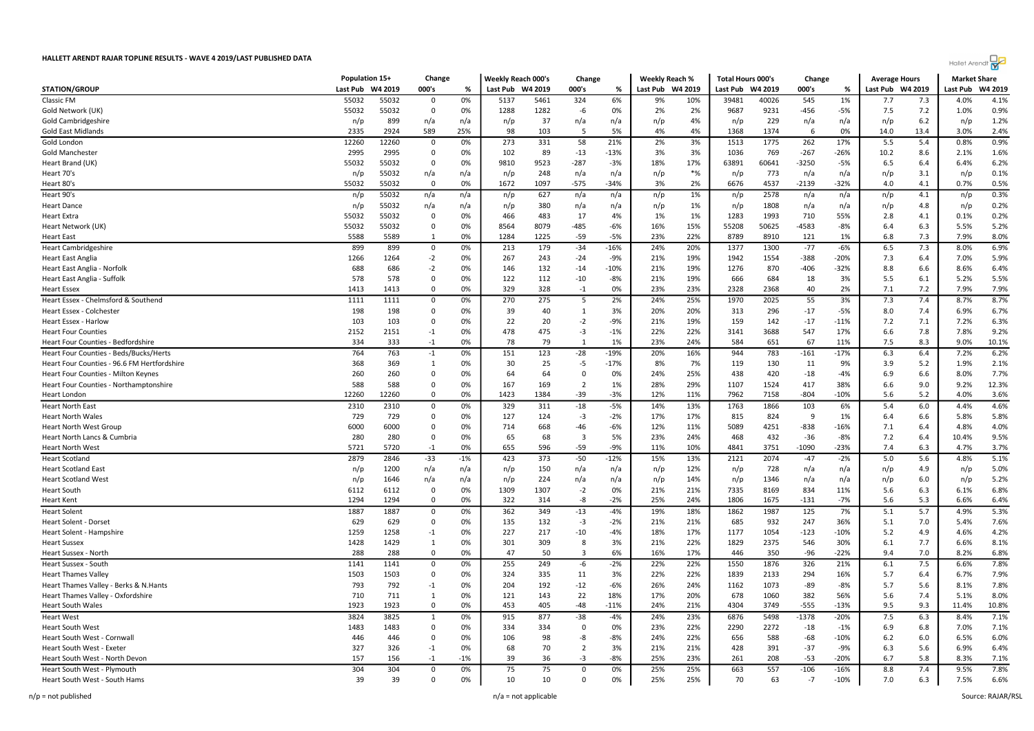

|                                             | Population 15+ |         | Change       |       | Weekly Reach 000's |         | Change         |        | <b>Weekly Reach %</b> |          | <b>Total Hours 000's</b> |         | Change  |        | <b>Average Hours</b> |      | <b>Market Share</b> |         |
|---------------------------------------------|----------------|---------|--------------|-------|--------------------|---------|----------------|--------|-----------------------|----------|--------------------------|---------|---------|--------|----------------------|------|---------------------|---------|
| <b>STATION/GROUP</b>                        | Last Pub       | W4 2019 | 000's        | %     | Last Pub           | W4 2019 | 000's          | %      | Last Pub              | W4 2019  | Last Pub                 | W4 2019 | 000's   | %      | Last Pub W4 2019     |      | Last Pub            | W4 2019 |
| Classic FM                                  | 55032          | 55032   | 0            | 0%    | 5137               | 5461    | 324            | 6%     | 9%                    | 10%      | 39481                    | 40026   | 545     | 1%     | 7.7                  | 7.3  | 4.0%                | 4.1%    |
| Gold Network (UK)                           | 55032          | 55032   | 0            | 0%    | 1288               | 1282    | -6             | 0%     | 2%                    | 2%       | 9687                     | 9231    | -456    | -5%    | 7.5                  | 7.2  | 1.0%                | 0.9%    |
| Gold Cambridgeshire                         | n/p            | 899     | n/a          | n/a   | n/p                | 37      | n/a            | n/a    | n/p                   | 4%       | n/p                      | 229     | n/a     | n/a    | n/p                  | 6.2  | n/p                 | 1.2%    |
| <b>Gold East Midlands</b>                   | 2335           | 2924    | 589          | 25%   | 98                 | 103     | -5             | 5%     | 4%                    | 4%       | 1368                     | 1374    | 6       | 0%     | 14.0                 | 13.4 | 3.0%                | 2.4%    |
| Gold London                                 | 12260          | 12260   | $\mathsf 0$  | 0%    | 273                | 331     | 58             | 21%    | 2%                    | 3%       | 1513                     | 1775    | 262     | 17%    | 5.5                  | 5.4  | 0.8%                | 0.9%    |
| Gold Manchester                             | 2995           | 2995    | 0            | 0%    | 102                | 89      | $-13$          | $-13%$ | 3%                    | 3%       | 1036                     | 769     | $-267$  | $-26%$ | 10.2                 | 8.6  | 2.1%                | 1.6%    |
| Heart Brand (UK)                            | 55032          | 55032   | 0            | 0%    | 9810               | 9523    | $-287$         | -3%    | 18%                   | 17%      | 63891                    | 60641   | $-3250$ | $-5%$  | 6.5                  | 6.4  | 6.4%                | 6.2%    |
| Heart 70's                                  | n/p            | 55032   | n/a          | n/a   | n/p                | 248     | n/a            | n/a    | n/p                   | $*_{\%}$ | n/p                      | 773     | n/a     | n/a    | n/p                  | 3.1  | n/p                 | 0.1%    |
| Heart 80's                                  | 55032          | 55032   | $\mathbf 0$  | 0%    | 1672               | 1097    | $-575$         | $-34%$ | 3%                    | 2%       | 6676                     | 4537    | $-2139$ | $-32%$ | 4.0                  | 4.1  | 0.7%                | 0.5%    |
| Heart 90's                                  | n/p            | 55032   | n/a          | n/a   | n/p                | 627     | n/a            | n/a    | n/p                   | 1%       | n/p                      | 2578    | n/a     | n/a    | n/p                  | 4.1  | n/p                 | 0.3%    |
| <b>Heart Dance</b>                          | n/p            | 55032   | n/a          | n/a   | n/p                | 380     | n/a            | n/a    | n/p                   | 1%       | n/p                      | 1808    | n/a     | n/a    | n/p                  | 4.8  | n/p                 | 0.2%    |
| <b>Heart Extra</b>                          | 55032          | 55032   | 0            | 0%    | 466                | 483     | 17             | 4%     | 1%                    | 1%       | 1283                     | 1993    | 710     | 55%    | 2.8                  | 4.1  | 0.1%                | 0.2%    |
| Heart Network (UK)                          | 55032          | 55032   | $\mathbf 0$  | 0%    | 8564               | 8079    | $-485$         | $-6%$  | 16%                   | 15%      | 55208                    | 50625   | $-4583$ | $-8%$  | 6.4                  | 6.3  | 5.5%                | 5.2%    |
| <b>Heart East</b>                           | 5588           | 5589    | 1            | 0%    | 1284               | 1225    | $-59$          | -5%    | 23%                   | 22%      | 8789                     | 8910    | 121     | 1%     | 6.8                  | 7.3  | 7.9%                | 8.0%    |
| <b>Heart Cambridgeshire</b>                 | 899            | 899     | 0            | 0%    | 213                | 179     | $-34$          | $-16%$ | 24%                   | 20%      | 1377                     | 1300    | $-77$   | $-6%$  | 6.5                  | 7.3  | 8.0%                | 6.9%    |
| <b>Heart East Anglia</b>                    | 1266           | 1264    | $-2$         | 0%    | 267                | 243     | $-24$          | $-9%$  | 21%                   | 19%      | 1942                     | 1554    | $-388$  | $-20%$ | 7.3                  | 6.4  | 7.0%                | 5.9%    |
| Heart East Anglia - Norfolk                 | 688            | 686     | $-2$         | 0%    | 146                | 132     | $-14$          | $-10%$ | 21%                   | 19%      | 1276                     | 870     | $-406$  | $-32%$ | 8.8                  | 6.6  | 8.6%                | 6.4%    |
| Heart East Anglia - Suffolk                 | 578            | 578     | 0            | 0%    | 122                | 112     | $-10$          | $-8%$  | 21%                   | 19%      | 666                      | 684     | 18      | 3%     | 5.5                  | 6.1  | 5.2%                | 5.5%    |
| <b>Heart Essex</b>                          | 1413           | 1413    | $\Omega$     | 0%    | 329                | 328     | $-1$           | 0%     | 23%                   | 23%      | 2328                     | 2368    | 40      | 2%     | 7.1                  | 7.2  | 7.9%                | 7.9%    |
| Heart Essex - Chelmsford & Southend         | 1111           | 1111    | $\mathbf 0$  | 0%    | 270                | 275     | -5             | 2%     | 24%                   | 25%      | 1970                     | 2025    | 55      | 3%     | 7.3                  | 7.4  | 8.7%                | 8.7%    |
| Heart Essex - Colchester                    | 198            | 198     | $\mathbf 0$  | 0%    | 39                 | 40      | 1              | 3%     | 20%                   | 20%      | 313                      | 296     | $-17$   | $-5%$  | 8.0                  | 7.4  | 6.9%                | 6.7%    |
| Heart Essex - Harlow                        | 103            | 103     | $\Omega$     | 0%    | 22                 | 20      | $-2$           | $-9%$  | 21%                   | 19%      | 159                      | 142     | $-17$   | $-11%$ | 7.2                  | 7.1  | 7.2%                | 6.3%    |
| <b>Heart Four Counties</b>                  | 2152           | 2151    | $-1$         | 0%    | 478                | 475     | $-3$           | $-1%$  | 22%                   | 22%      | 3141                     | 3688    | 547     | 17%    | 6.6                  | 7.8  | 7.8%                | 9.2%    |
| Heart Four Counties - Bedfordshire          | 334            | 333     | $-1$         | 0%    | 78                 | 79      | $\overline{1}$ | 1%     | 23%                   | 24%      | 584                      | 651     | 67      | 11%    | 7.5                  | 8.3  | 9.0%                | 10.1%   |
| Heart Four Counties - Beds/Bucks/Herts      | 764            | 763     | $-1$         | 0%    | 151                | 123     | -28            | -19%   | 20%                   | 16%      | 944                      | 783     | -161    | $-17%$ | 6.3                  | 6.4  | 7.2%                | 6.2%    |
| Heart Four Counties - 96.6 FM Hertfordshire | 368            | 369     | 1            | 0%    | 30                 | 25      | $-5$           | $-17%$ | 8%                    | 7%       | 119                      | 130     | 11      | 9%     | 3.9                  | 5.2  | 1.9%                | 2.1%    |
| Heart Four Counties - Milton Keynes         | 260            | 260     | $\Omega$     | 0%    | 64                 | 64      | $\Omega$       | 0%     | 24%                   | 25%      | 438                      | 420     | $-18$   | $-4%$  | 6.9                  | 6.6  | 8.0%                | 7.7%    |
| Heart Four Counties - Northamptonshire      | 588            | 588     | $\mathbf 0$  | 0%    | 167                | 169     | $\overline{2}$ | 1%     | 28%                   | 29%      | 1107                     | 1524    | 417     | 38%    | 6.6                  | 9.0  | 9.2%                | 12.3%   |
| Heart London                                | 12260          | 12260   | $\Omega$     | 0%    | 1423               | 1384    | -39            | -3%    | 12%                   | 11%      | 7962                     | 7158    | -804    | $-10%$ | 5.6                  | 5.2  | 4.0%                | 3.6%    |
| <b>Heart North East</b>                     | 2310           | 2310    | 0            | 0%    | 329                | 311     | $-18$          | $-5%$  | 14%                   | 13%      | 1763                     | 1866    | 103     | 6%     | 5.4                  | 6.0  | 4.4%                | 4.6%    |
| <b>Heart North Wales</b>                    | 729            | 729     | $\Omega$     | 0%    | 127                | 124     | $-3$           | $-2%$  | 17%                   | 17%      | 815                      | 824     | - 9     | 1%     | 6.4                  | 6.6  | 5.8%                | 5.8%    |
| <b>Heart North West Group</b>               | 6000           | 6000    | $\Omega$     | 0%    | 714                | 668     | -46            | $-6%$  | 12%                   | 11%      | 5089                     | 4251    | $-838$  | $-16%$ | 7.1                  | 6.4  | 4.8%                | 4.0%    |
| Heart North Lancs & Cumbria                 | 280            | 280     | 0            | 0%    | 65                 | 68      | -3             | 5%     | 23%                   | 24%      | 468                      | 432     | $-36$   | $-8%$  | 7.2                  | 6.4  | 10.4%               | 9.5%    |
| <b>Heart North West</b>                     | 5721           | 5720    | $-1$         | 0%    | 655                | 596     | -59            | $-9%$  | 11%                   | 10%      | 4841                     | 3751    | -1090   | $-23%$ | 7.4                  | 6.3  | 4.7%                | 3.7%    |
| <b>Heart Scotland</b>                       | 2879           | 2846    | $-33$        | $-1%$ | 423                | 373     | $-50$          | $-12%$ | 15%                   | 13%      | 2121                     | 2074    | $-47$   | $-2%$  | 5.0                  | 5.6  | 4.8%                | 5.1%    |
| <b>Heart Scotland East</b>                  | n/p            | 1200    | n/a          | n/a   | n/p                | 150     | n/a            | n/a    | n/p                   | 12%      | n/p                      | 728     | n/a     | n/a    | n/p                  | 4.9  | n/p                 | 5.0%    |
| <b>Heart Scotland West</b>                  | n/p            | 1646    | n/a          | n/a   | n/p                | 224     | n/a            | n/a    | n/p                   | 14%      | n/p                      | 1346    | n/a     | n/a    | n/p                  | 6.0  | n/p                 | 5.2%    |
| <b>Heart South</b>                          | 6112           | 6112    | $\mathbf 0$  | 0%    | 1309               | 1307    | $-2$           | 0%     | 21%                   | 21%      | 7335                     | 8169    | 834     | 11%    | 5.6                  | 6.3  | 6.1%                | 6.8%    |
| <b>Heart Kent</b>                           | 1294           | 1294    | $\Omega$     | 0%    | 322                | 314     | -8             | $-2%$  | 25%                   | 24%      | 1806                     | 1675    | $-131$  | $-7%$  | 5.6                  | 5.3  | 6.6%                | 6.4%    |
| <b>Heart Solent</b>                         | 1887           | 1887    | 0            | 0%    | 362                | 349     | $-13$          | $-4%$  | 19%                   | 18%      | 1862                     | 1987    | 125     | 7%     | 5.1                  | 5.7  | 4.9%                | 5.3%    |
| Heart Solent - Dorset                       | 629            | 629     | 0            | 0%    | 135                | 132     | $-3$           | $-2%$  | 21%                   | 21%      | 685                      | 932     | 247     | 36%    | 5.1                  | 7.0  | 5.4%                | 7.6%    |
| Heart Solent - Hampshire                    | 1259           | 1258    | $-1$         | 0%    | 227                | 217     | $-10$          | $-4%$  | 18%                   | 17%      | 1177                     | 1054    | $-123$  | $-10%$ | 5.2                  | 4.9  | 4.6%                | 4.2%    |
| <b>Heart Sussex</b>                         | 1428           | 1429    | 1            | 0%    | 301                | 309     | 8              | 3%     | 21%                   | 22%      | 1829                     | 2375    | 546     | 30%    | 6.1                  | 7.7  | 6.6%                | 8.1%    |
| Heart Sussex - North                        | 288            | 288     | $\Omega$     | 0%    | 47                 | 50      | $\mathbf{a}$   | 6%     | 16%                   | 17%      | 446                      | 350     | $-96$   | $-22%$ | 9.4                  | 7.0  | 8.2%                | 6.8%    |
| Heart Sussex - South                        | 1141           | 1141    | 0            | 0%    | 255                | 249     | -6             | $-2%$  | 22%                   | 22%      | 1550                     | 1876    | 326     | 21%    | 6.1                  | 7.5  | 6.6%                | 7.8%    |
| <b>Heart Thames Valley</b>                  | 1503           | 1503    | 0            | 0%    | 324                | 335     | 11             | 3%     | 22%                   | 22%      | 1839                     | 2133    | 294     | 16%    | 5.7                  | 6.4  | 6.7%                | 7.9%    |
| Heart Thames Valley - Berks & N. Hants      | 793            | 792     | $-1$         | 0%    | 204                | 192     | $-12$          | $-6%$  | 26%                   | 24%      | 1162                     | 1073    | $-89$   | $-8%$  | 5.7                  | 5.6  | 8.1%                | 7.8%    |
| Heart Thames Valley - Oxfordshire           | 710            | 711     | 1            | 0%    | 121                | 143     | 22             | 18%    | 17%                   | 20%      | 678                      | 1060    | 382     | 56%    | 5.6                  | 7.4  | 5.1%                | 8.0%    |
| <b>Heart South Wales</b>                    | 1923           | 1923    | $\Omega$     | 0%    | 453                | 405     | $-48$          | $-11%$ | 24%                   | 21%      | 4304                     | 3749    | $-555$  | $-13%$ | 9.5                  | 9.3  | 11.4%               | 10.8%   |
| <b>Heart West</b>                           | 3824           | 3825    | $\mathbf{1}$ | 0%    | 915                | 877     | $-38$          | $-4%$  | 24%                   | 23%      | 6876                     | 5498    | $-1378$ | $-20%$ | 7.5                  | 6.3  | 8.4%                | 7.1%    |
| Heart South West                            | 1483           | 1483    | $\Omega$     | 0%    | 334                | 334     | $\Omega$       | 0%     | 23%                   | 22%      | 2290                     | 2272    | $-18$   | $-1%$  | 6.9                  | 6.8  | 7.0%                | 7.1%    |
| Heart South West - Cornwall                 | 446            | 446     | $\Omega$     | 0%    | 106                | 98      | -8             | $-8%$  | 24%                   | 22%      | 656                      | 588     | $-68$   | $-10%$ | $6.2$                | 6.0  | 6.5%                | 6.0%    |
| Heart South West - Exeter                   | 327            | 326     | $-1$         | 0%    | 68                 | 70      | $\overline{2}$ | 3%     | 21%                   | 21%      | 428                      | 391     | $-37$   | $-9%$  | 6.3                  | 5.6  | 6.9%                | 6.4%    |
| Heart South West - North Devon              | 157            | 156     | $-1$         | $-1%$ | 39                 | 36      | $-3$           | $-8%$  | 25%                   | 23%      | 261                      | 208     | $-53$   | $-20%$ | 6.7                  | 5.8  | 8.3%                | 7.1%    |
| Heart South West - Plymouth                 | 304            | 304     | $\Omega$     | 0%    | 75                 | 75      | $\Omega$       | 0%     | 25%                   | 25%      | 663                      | 557     | $-106$  | $-16%$ | 8.8                  | 7.4  | 9.5%                | 7.8%    |
| Heart South West - South Hams               | 39             | 39      | $\Omega$     | 0%    | 10                 | 10      | $\Omega$       | 0%     | 25%                   | 25%      | 70                       | 63      | $-7$    | $-10%$ | 7.0                  | 6.3  | 7.5%                | 6.6%    |
|                                             |                |         |              |       |                    |         |                |        |                       |          |                          |         |         |        |                      |      |                     |         |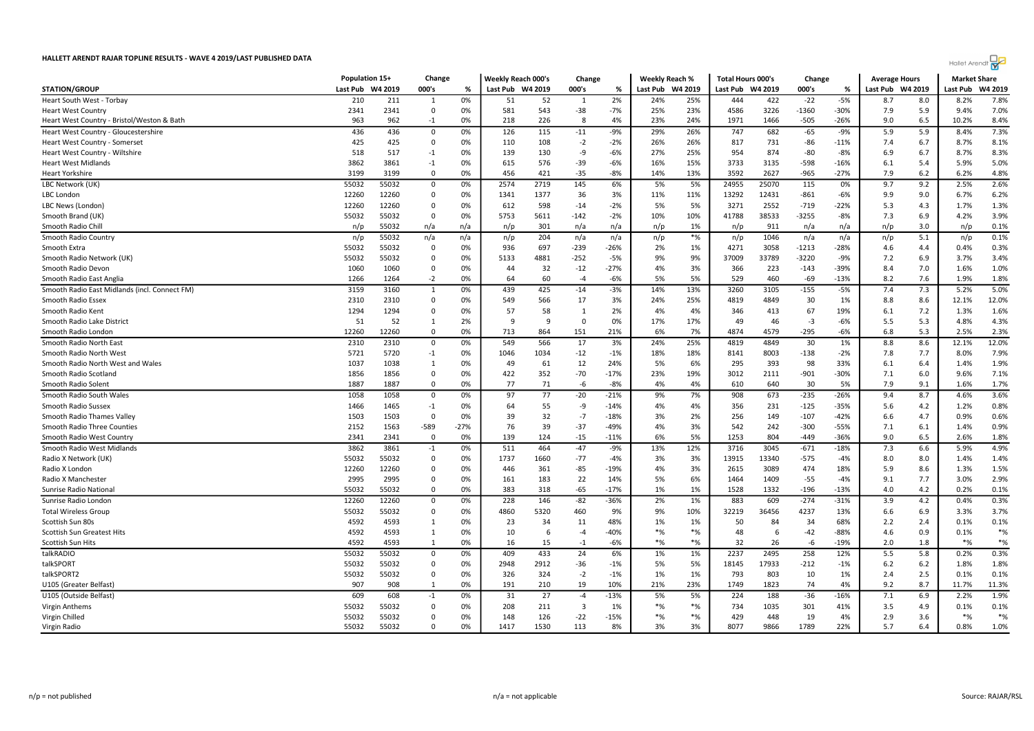

| 000's<br><b>STATION/GROUP</b><br>Last Pub<br>W4 2019<br>000's<br>Last Pub W4 2019<br>%<br>Last Pub<br>W4 2019<br>Last Pub<br>W4 2019<br>000's<br>%<br>Last Pub W4 2019<br>%<br>0%<br>2%<br>$-5%$<br>210<br>211<br>52<br>24%<br>25%<br>444<br>422<br>$-22$<br>Heart South West - Torbay<br>51<br>8.7<br>8.0<br>$\mathbf{1}$<br>1<br>$-7%$<br>23%<br>2341<br>2341<br>0%<br>581<br>543<br>$-38$<br>25%<br>4586<br>3226<br>$-1360$<br>$-30%$<br>7.9<br>5.9<br><b>Heart West Country</b><br>$\Omega$<br>9.0<br>ş | Last Pub<br>W4 2019<br>7.8%<br>8.2%<br>7.0%<br>9.4% |
|-------------------------------------------------------------------------------------------------------------------------------------------------------------------------------------------------------------------------------------------------------------------------------------------------------------------------------------------------------------------------------------------------------------------------------------------------------------------------------------------------------------|-----------------------------------------------------|
|                                                                                                                                                                                                                                                                                                                                                                                                                                                                                                             |                                                     |
|                                                                                                                                                                                                                                                                                                                                                                                                                                                                                                             |                                                     |
|                                                                                                                                                                                                                                                                                                                                                                                                                                                                                                             |                                                     |
| 963<br>962<br>0%<br>218<br>226<br>4%<br>23%<br>24%<br>1971<br>1466<br>$-505$<br>-26%<br>6.5<br>Heart West Country - Bristol/Weston & Bath<br>$-1$                                                                                                                                                                                                                                                                                                                                                           | 8.4%<br>10.2%                                       |
| 126<br>5.9<br>436<br>436<br>0%<br>115<br>$-11$<br>29%<br>26%<br>747<br>682<br>$-65$<br>$-9%$<br>5.9<br>Heart West Country - Gloucestershire<br>0<br>-9%                                                                                                                                                                                                                                                                                                                                                     | 7.3%<br>8.4%                                        |
| 425<br>108<br>$-2$<br>26%<br>731<br>425<br>0<br>0%<br>$-2%$<br>26%<br>817<br>-86<br>$-11%$<br>7.4<br>6.7<br><b>Heart West Country - Somerset</b><br>110                                                                                                                                                                                                                                                                                                                                                     | 8.1%<br>8.7%                                        |
| 518<br>517<br>0%<br>139<br>130<br>-9<br>$-6%$<br>27%<br>25%<br>954<br>874<br>$-80$<br>$-8%$<br>6.9<br>Heart West Country - Wiltshire<br>$-1$<br>6.7                                                                                                                                                                                                                                                                                                                                                         | 8.3%<br>8.7%                                        |
| 3862<br>576<br>$-6%$<br>15%<br>3733<br>3861<br>0%<br>615<br>$-39$<br>16%<br>3135<br>$-598$<br>-16%<br>6.1<br>5.4<br><b>Heart West Midlands</b><br>$-1$                                                                                                                                                                                                                                                                                                                                                      | 5.0%<br>5.9%                                        |
| 0%<br>$-35$<br>$-8%$<br>14%<br>13%<br>3592<br>2627<br>$-965$<br>$-27%$<br>7.9<br>6.2<br><b>Heart Yorkshire</b><br>3199<br>3199<br>0<br>456<br>421                                                                                                                                                                                                                                                                                                                                                           | 4.8%<br>6.2%                                        |
| LBC Network (UK)<br>55032<br>55032<br>0%<br>2574<br>2719<br>145<br>6%<br>5%<br>5%<br>24955<br>25070<br>115<br>0%<br>9.7<br>9.2<br>0                                                                                                                                                                                                                                                                                                                                                                         | 2.6%<br>2.5%                                        |
| 0%<br>1341<br>1377<br>36<br>3%<br>11%<br>11%<br>13292<br>12431<br>$-861$<br>$-6%$<br>9.9<br>9.0<br><b>LBC</b> London<br>12260<br>12260<br>$\Omega$                                                                                                                                                                                                                                                                                                                                                          | 6.2%<br>6.7%                                        |
| 0%<br>$-2%$<br>5%<br>5%<br>3271<br>2552<br>$-22%$<br>5.3<br>12260<br>12260<br>$\mathbf 0$<br>612<br>598<br>$-14$<br>$-719$<br>4.3<br>LBC News (London)                                                                                                                                                                                                                                                                                                                                                      | 1.3%<br>1.7%                                        |
| 55032<br>5611<br>41788<br>38533<br>$-3255$<br>$-8%$<br>7.3<br>Smooth Brand (UK)<br>55032<br>0<br>0%<br>5753<br>$-142$<br>$-2%$<br>10%<br>10%<br>6.9                                                                                                                                                                                                                                                                                                                                                         | 3.9%<br>4.2%                                        |
| 301<br>1%<br>Smooth Radio Chill<br>55032<br>n/a<br>n/a<br>n/p<br>n/a<br>n/a<br>n/p<br>n/p<br>911<br>n/a<br>n/a<br>n/p<br>3.0<br>n/p                                                                                                                                                                                                                                                                                                                                                                         | 0.1%<br>n/p                                         |
| $*%$<br>55032<br>n/a<br>204<br>1046<br>5.1<br>Smooth Radio Country<br>n/a<br>n/a<br>n/a<br>n/p<br>n/a<br>n/a<br>n/p<br>n/p<br>n/p<br>n/p                                                                                                                                                                                                                                                                                                                                                                    | 0.1%<br>n/p                                         |
| 55032<br>55032<br>$\mathbf 0$<br>0%<br>936<br>697<br>$-239$<br>-26%<br>2%<br>1%<br>4271<br>3058<br>$-1213$<br>$-28%$<br>4.4<br>Smooth Extra<br>4.6                                                                                                                                                                                                                                                                                                                                                          | 0.3%<br>0.4%                                        |
| 9%<br>7.2<br>55032<br>55032<br>$\Omega$<br>0%<br>5133<br>4881<br>$-252$<br>-5%<br>9%<br>37009<br>33789<br>$-3220$<br>-9%<br>6.9<br>Smooth Radio Network (UK)                                                                                                                                                                                                                                                                                                                                                | 3.4%<br>3.7%                                        |
| 0%<br>32<br>$-12$<br>$-27%$<br>4%<br>3%<br>366<br>223<br>$-39%$<br>8.4<br>7.0<br>Smooth Radio Devon<br>1060<br>1060<br>$\Omega$<br>44<br>$-143$                                                                                                                                                                                                                                                                                                                                                             | 1.0%<br>1.6%                                        |
| $-2$<br>64<br>60<br>$-6%$<br>5%<br>5%<br>529<br>460<br>$-69$<br>$-13%$<br>8.2<br>7.6<br>Smooth Radio East Anglia<br>1266<br>1264<br>0%<br>$-4$                                                                                                                                                                                                                                                                                                                                                              | 1.8%<br>1.9%                                        |
| $-5%$<br>7.3<br>0%<br>439<br>425<br>$-3%$<br>14%<br>13%<br>3105<br>$-155$<br>7.4<br>Smooth Radio East Midlands (incl. Connect FM)<br>3159<br>3160<br>1<br>$-14$<br>3260                                                                                                                                                                                                                                                                                                                                     | 5.0%<br>5.2%                                        |
| 566<br>17<br>25%<br>4819<br>30<br>2310<br>0<br>0%<br>549<br>3%<br>24%<br>4849<br>1%<br>8.8<br>8.6<br>Smooth Radio Essex<br>2310                                                                                                                                                                                                                                                                                                                                                                             | 12.0%<br>12.1%                                      |
| 1294<br>57<br>58<br>2%<br>4%<br>4%<br>67<br>19%<br>7.2<br>Smooth Radio Kent<br>1294<br>0<br>0%<br>1<br>346<br>413<br>6.1                                                                                                                                                                                                                                                                                                                                                                                    | 1.6%<br>1.3%                                        |
| 51<br>2%<br>9<br>$\Omega$<br>0%<br>17%<br>17%<br>49<br>46<br>$-3$<br>5.5<br>5.3<br>Smooth Radio Lake District<br>52<br>$\mathbf{1}$<br>$\epsilon$<br>-6%                                                                                                                                                                                                                                                                                                                                                    | 4.3%<br>4.8%                                        |
| 151<br>$-295$<br>12260<br>12260<br>$\mathbf 0$<br>0%<br>713<br>864<br>21%<br>6%<br>7%<br>4874<br>4579<br>$-6%$<br>6.8<br>5.3<br>Smooth Radio London                                                                                                                                                                                                                                                                                                                                                         | 2.3%<br>2.5%                                        |
| 2310<br>2310<br>549<br>566<br>17<br>3%<br>24%<br>25%<br>4819<br>4849<br>30<br>8.8<br>8.6<br>Smooth Radio North East<br>0<br>0%<br>1%                                                                                                                                                                                                                                                                                                                                                                        | 12.0%<br>12.1%                                      |
| 5721<br>$-12$<br>8003<br>Smooth Radio North West<br>5720<br>$-1$<br>0%<br>1046<br>1034<br>$-1%$<br>18%<br>18%<br>8141<br>$-138$<br>$-2%$<br>7.8<br>7.7                                                                                                                                                                                                                                                                                                                                                      | 7.9%<br>8.0%                                        |
| 12<br>5%<br>6%<br>1037<br>1038<br>0%<br>49<br>61<br>24%<br>295<br>393<br>98<br>33%<br>Smooth Radio North West and Wales<br>6.1<br>6.4<br>-1                                                                                                                                                                                                                                                                                                                                                                 | 1.9%<br>1.4%                                        |
| $-70$<br>23%<br>1856<br>1856<br>0<br>0%<br>422<br>352<br>$-17%$<br>19%<br>3012<br>2111<br>$-901$<br>$-30%$<br>7.1<br>6.0<br>Smooth Radio Scotland                                                                                                                                                                                                                                                                                                                                                           | 7.1%<br>9.6%                                        |
| 77<br>$-8%$<br>7.9<br>9.1<br>1887<br>$\Omega$<br>0%<br>71<br>-6<br>4%<br>4%<br>30<br>5%<br>Smooth Radio Solent<br>1887<br>610<br>640                                                                                                                                                                                                                                                                                                                                                                        | 1.7%<br>1.6%                                        |
| $-20$<br>$-235$<br>8.7<br>1058<br>1058<br>97<br>77<br>9%<br>7%<br>908<br>673<br>$-26%$<br>9.4<br>Smooth Radio South Wales<br>0<br>0%<br>$-21%$                                                                                                                                                                                                                                                                                                                                                              | 3.6%<br>4.6%                                        |
| Smooth Radio Sussex<br>1466<br>1465<br>0%<br>64<br>55<br>-9<br>$-14%$<br>4%<br>4%<br>356<br>231<br>$-125$<br>$-35%$<br>5.6<br>4.2<br>$-1$                                                                                                                                                                                                                                                                                                                                                                   | 0.8%<br>1.2%                                        |
| 1503<br>1503<br>$\mathbf 0$<br>0%<br>39<br>32<br>$-7$<br>$-18%$<br>3%<br>2%<br>256<br>149<br>$-107$<br>$-42%$<br>6.6<br>4.7<br>Smooth Radio Thames Valley                                                                                                                                                                                                                                                                                                                                                   | 0.6%<br>0.9%                                        |
| -589<br>76<br>39<br>$-37$<br>-49%<br>4%<br>3%<br>542<br>242<br>Smooth Radio Three Counties<br>2152<br>1563<br>$-27%$<br>$-300$<br>-55%<br>7.1<br>6.1                                                                                                                                                                                                                                                                                                                                                        | 0.9%<br>1.4%                                        |
| 139<br>$-15$<br>6%<br>5%<br>804<br>9.0<br>6.5<br>Smooth Radio West Country<br>2341<br>2341<br>$\Omega$<br>0%<br>124<br>$-11%$<br>1253<br>$-449$<br>$-36%$                                                                                                                                                                                                                                                                                                                                                   | 1.8%<br>2.6%                                        |
| 464<br>$-47$<br>6.6<br>Smooth Radio West Midlands<br>3862<br>3861<br>$-1$<br>0%<br>511<br>$-9%$<br>13%<br>12%<br>3716<br>3045<br>$-671$<br>$-18%$<br>7.3                                                                                                                                                                                                                                                                                                                                                    | 4.9%<br>5.9%                                        |
| $-77$<br>3%<br>3%<br>55032<br>55032<br>$\mathbf 0$<br>0%<br>1737<br>1660<br>$-4%$<br>13915<br>13340<br>$-575$<br>$-4%$<br>8.0<br>8.0<br>Radio X Network (UK)                                                                                                                                                                                                                                                                                                                                                | 1.4%<br>1.4%                                        |
| 12260<br>12260<br>0%<br>446<br>361<br>$-85$<br>-19%<br>4%<br>3%<br>2615<br>3089<br>474<br>18%<br>5.9<br>8.6<br>Radio X London<br>0                                                                                                                                                                                                                                                                                                                                                                          | 1.5%<br>1.3%                                        |
| 0%<br>22<br>5%<br>6%<br>1464<br>$-55$<br>Radio X Manchester<br>2995<br>2995<br>0<br>161<br>183<br>14%<br>1409<br>$-4%$<br>9.1<br>7.7                                                                                                                                                                                                                                                                                                                                                                        | 2.9%<br>3.0%                                        |
| 55032<br>55032<br>0%<br>383<br>318<br>$-65$<br>$-17%$<br>1%<br>1%<br>1528<br>1332<br>$-196$<br>$-13%$<br>4.0<br>4.2<br>Sunrise Radio Nationa<br>0                                                                                                                                                                                                                                                                                                                                                           | 0.2%<br>0.1%                                        |
| Sunrise Radio Londor<br>12260<br>12260<br>0%<br>228<br>146<br>$-82$<br>-36%<br>2%<br>1%<br>883<br>609<br>$-274$<br>$-31%$<br>3.9<br>4.2<br>0                                                                                                                                                                                                                                                                                                                                                                | 0.3%<br>0.4%                                        |
| <b>Total Wireless Group</b><br>55032<br>55032<br>0<br>0%<br>4860<br>5320<br>460<br>9%<br>9%<br>10%<br>32219<br>36456<br>4237<br>13%<br>6.6<br>6.9                                                                                                                                                                                                                                                                                                                                                           | 3.3%<br>3.7%                                        |
| 0%<br>23<br>48%<br>1%<br>50<br>68%<br>2.2<br>4592<br>4593<br>34<br>11<br>1%<br>84<br>34<br>2.4<br>Scottish Sun 80s<br>1                                                                                                                                                                                                                                                                                                                                                                                     | 0.1%<br>0.1%                                        |
| $*$ %<br>$*$ %<br>4592<br>4593<br>0%<br>10<br>$-4$<br>$-40%$<br>48<br>6<br>$-42$<br>$-88%$<br>4.6<br>0.9<br>Scottish Sun Greatest Hits<br>6<br>1                                                                                                                                                                                                                                                                                                                                                            | $*$ %<br>0.1%                                       |
| $-6%$<br>$*_{\%}$<br>$*$ %<br>4592<br>0%<br>15<br>32<br>$-19%$<br>2.0<br>1.8<br>Scottish Sun Hits<br>4593<br>1<br>16<br>$-1$<br>26<br>-6                                                                                                                                                                                                                                                                                                                                                                    | $*$ %<br>$*$ %                                      |
| 2237<br>258<br>55032<br>55032<br>0%<br>409<br>433<br>24<br>6%<br>1%<br>1%<br>2495<br>12%<br>5.5<br>5.8<br>talkRADIO<br>0                                                                                                                                                                                                                                                                                                                                                                                    | 0.3%<br>0.2%                                        |
| talkSPORT<br>55032<br>55032<br>0%<br>2948<br>2912<br>$-36$<br>$-1%$<br>5%<br>5%<br>18145<br>17933<br>$-212$<br>$-1%$<br>6.2<br>6.2<br>0                                                                                                                                                                                                                                                                                                                                                                     | 1.8%<br>1.8%                                        |
| 0%<br>$-2$<br>1%<br>2.4<br>2.5<br>talkSPORT2<br>55032<br>55032<br>$\Omega$<br>326<br>324<br>$-1%$<br>1%<br>793<br>803<br>10<br>1%                                                                                                                                                                                                                                                                                                                                                                           | 0.1%<br>0.1%                                        |
| 19<br>23%<br>1823<br>9.2<br>907<br>908<br>0%<br>191<br>210<br>10%<br>21%<br>1749<br>74<br>4%<br>8.7<br>U105 (Greater Belfast)<br>1                                                                                                                                                                                                                                                                                                                                                                          | 11.7%<br>11.3%                                      |
| 609<br>608<br>27<br>5%<br>5%<br>224<br>$-36$<br>7.1<br>6.9<br>U105 (Outside Belfast)<br>31<br>$-4$<br>$-13%$<br>188<br>-16%<br>$-1$<br>0%                                                                                                                                                                                                                                                                                                                                                                   | 1.9%<br>2.2%                                        |
| $*%$<br>734<br>3.5<br>Virgin Anthems<br>55032<br>55032<br>$\Omega$<br>0%<br>208<br>211<br>3<br>1%<br>$^{\ast}$ %<br>1035<br>301<br>41%<br>4.9                                                                                                                                                                                                                                                                                                                                                               | 0.1%<br>0.1%                                        |
| $*_{\%}$<br>$*$ %<br>Virgin Chilled<br>55032<br>0%<br>126<br>$-22$<br>$-15%$<br>429<br>448<br>19<br>4%<br>2.9<br>55032<br>$\Omega$<br>148<br>3.6                                                                                                                                                                                                                                                                                                                                                            | $*$ %<br>$*$ %                                      |
| 8%<br>5.7<br>55032<br>55032<br>$\Omega$<br>0%<br>1417<br>1530<br>113<br>3%<br>3%<br>8077<br>9866<br>1789<br>22%<br>6.4<br>Virgin Radio                                                                                                                                                                                                                                                                                                                                                                      | 1.0%<br>0.8%                                        |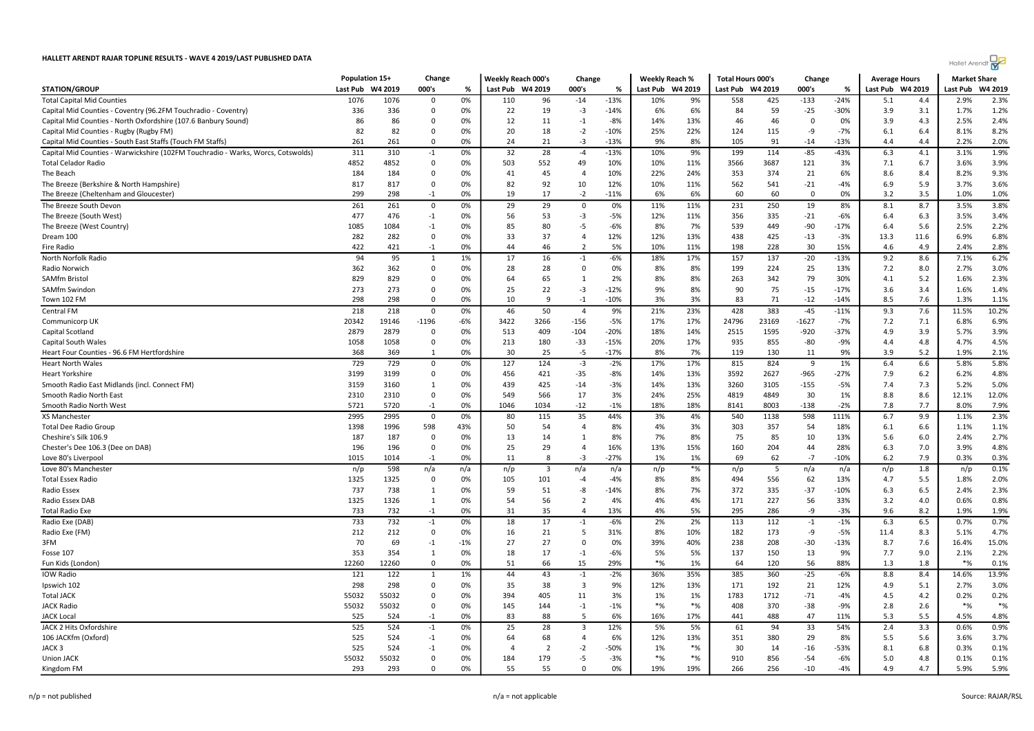|                                                                                  | Population 15+ |         | Change       |       | Weekly Reach 000's |              | Change         |        | Weekly Reach % |         | <b>Total Hours 000's</b> |       | Change   |        | <b>Average Hours</b> |      | <b>Market Share</b> |         |
|----------------------------------------------------------------------------------|----------------|---------|--------------|-------|--------------------|--------------|----------------|--------|----------------|---------|--------------------------|-------|----------|--------|----------------------|------|---------------------|---------|
| <b>STATION/GROUP</b>                                                             | Last Pub       | W4 2019 | 000's        | %     | Last Pub W4 2019   |              | 000's          | %      | Last Pub       | W4 2019 | Last Pub W4 2019         |       | 000's    | %      | Last Pub W4 2019     |      | Last Pub            | W4 2019 |
| <b>Total Capital Mid Counties</b>                                                | 1076           | 1076    | $\Omega$     | 0%    | 110                | 96           | $-14$          | $-13%$ | 10%            | 9%      | 558                      | 425   | $-133$   | $-24%$ | 5.1                  | 4.4  | 2.9%                | 2.3%    |
| Capital Mid Counties - Coventry (96.2FM Touchradio - Coventry)                   | 336            | 336     | $\mathbf 0$  | 0%    | 22                 | 19           | $-3$           | $-14%$ | 6%             | 6%      | 84                       | 59    | $-25$    | $-30%$ | 3.9                  | 3.1  | 1.7%                | 1.2%    |
| Capital Mid Counties - North Oxfordshire (107.6 Banbury Sound)                   | 86             | 86      | 0            | 0%    | 12                 | 11           | $-1$           | $-8%$  | 14%            | 13%     | 46                       | 46    | 0        | 0%     | 3.9                  | 4.3  | 2.5%                | 2.4%    |
| Capital Mid Counties - Rugby (Rugby FM)                                          | 82             | 82      | 0            | 0%    | 20                 | 18           | $-2$           | $-10%$ | 25%            | 22%     | 124                      | 115   | -9       | $-7%$  | 6.1                  | 6.4  | 8.1%                | 8.2%    |
| Capital Mid Counties - South East Staffs (Touch FM Staffs)                       | 261            | 261     | $\mathbf 0$  | 0%    | 24                 | 21           | $-3$           | $-13%$ | 9%             | 8%      | 105                      | 91    | $-14$    | $-13%$ | 4.4                  | 4.4  | 2.2%                | 2.0%    |
| Capital Mid Counties - Warwickshire (102FM Touchradio - Warks, Worcs, Cotswolds) | 311            | 310     | $^{\rm -1}$  | 0%    | 32                 | 28           | $-4$           | $-13%$ | 10%            | 9%      | 199                      | 114   | $-85$    | $-43%$ | 6.3                  | 4.1  | 3.1%                | 1.9%    |
| Total Celador Radio                                                              | 4852           | 4852    | $\mathbf 0$  | 0%    | 503                | 552          | 49             | 10%    | 10%            | 11%     | 3566                     | 3687  | 121      | 3%     | 7.1                  | 6.7  | 3.6%                | 3.9%    |
| The Beach                                                                        | 184            | 184     | $\mathbf 0$  | 0%    | 41                 | 45           | $\overline{4}$ | 10%    | 22%            | 24%     | 353                      | 374   | 21       | 6%     | 8.6                  | 8.4  | 8.2%                | 9.3%    |
| The Breeze (Berkshire & North Hampshire)                                         | 817            | 817     | 0            | 0%    | 82                 | 92           | 10             | 12%    | 10%            | 11%     | 562                      | 541   | $-21$    | $-4%$  | 6.9                  | 5.9  | 3.7%                | 3.6%    |
| The Breeze (Cheltenham and Gloucester)                                           | 299            | 298     | $-1$         | 0%    | 19                 | 17           | $-2$           | $-11%$ | 6%             | 6%      | 60                       | 60    | $\Omega$ | 0%     | 3.2                  | 3.5  | 1.0%                | 1.0%    |
| The Breeze South Devon                                                           | 261            | 261     | $\mathbf 0$  | 0%    | 29                 | 29           | $\mathbf 0$    | 0%     | 11%            | 11%     | 231                      | 250   | 19       | 8%     | 8.1                  | 8.7  | 3.5%                | 3.8%    |
| The Breeze (South West)                                                          | 477            | 476     | $-1$         | 0%    | 56                 | 53           | $-3$           | $-5%$  | 12%            | 11%     | 356                      | 335   | $-21$    | $-6%$  | 6.4                  | 6.3  | 3.5%                | 3.4%    |
| The Breeze (West Country)                                                        | 1085           | 1084    | $-1$         | 0%    | 85                 | 80           | $-5$           | $-6%$  | 8%             | 7%      | 539                      | 449   | $-90$    | $-17%$ | 6.4                  | 5.6  | 2.5%                | 2.2%    |
| Dream 100                                                                        | 282            | 282     | 0            | 0%    | 33                 | 37           | $\overline{4}$ | 12%    | 12%            | 13%     | 438                      | 425   | $-13$    | $-3%$  | 13.3                 | 11.6 | 6.9%                | 6.8%    |
| Fire Radio                                                                       | 422            | 421     | $-1$         | 0%    | 44                 | 46           | $\overline{2}$ | 5%     | 10%            | 11%     | 198                      | 228   | 30       | 15%    | 4.6                  | 4.9  | 2.4%                | 2.8%    |
| North Norfolk Radio                                                              | 94             | 95      | $\mathbf{1}$ | 1%    | 17                 | 16           | $-1$           | $-6%$  | 18%            | 17%     | 157                      | 137   | $-20$    | $-13%$ | 9.2                  | 8.6  | 7.1%                | 6.2%    |
| Radio Norwich                                                                    | 362            | 362     | $\mathbf 0$  | 0%    | 28                 | 28           | $\Omega$       | 0%     | 8%             | 8%      | 199                      | 224   | 25       | 13%    | 7.2                  | 8.0  | 2.7%                | 3.0%    |
| SAMfm Bristol                                                                    | 829            | 829     | $\mathbf 0$  | 0%    | 64                 | 65           | 1              | 2%     | 8%             | 8%      | 263                      | 342   | 79       | 30%    | 4.1                  | 5.2  | 1.6%                | 2.3%    |
| SAMfm Swindon                                                                    | 273            | 273     | 0            | 0%    | 25                 | 22           | $-3$           | $-12%$ | 9%             | 8%      | 90                       | 75    | $-15$    | $-17%$ | 3.6                  | 3.4  | 1.6%                | 1.4%    |
| Town 102 FM                                                                      | 298            | 298     | $\mathbf 0$  | 0%    | 10                 | 9            | $-1$           | $-10%$ | 3%             | 3%      | 83                       | 71    | $-12$    | $-14%$ | 8.5                  | 7.6  | 1.3%                | 1.1%    |
| Central FM                                                                       | 218            | 218     | $\mathbf 0$  | 0%    | 46                 | 50           | $\overline{4}$ | 9%     | 21%            | 23%     | 428                      | 383   | $-45$    | $-11%$ | 9.3                  | 7.6  | 11.5%               | 10.2%   |
| Communicorp UK                                                                   | 20342          | 19146   | $-1196$      | -6%   | 3422               | 3266         | $-156$         | -5%    | 17%            | 17%     | 24796                    | 23169 | -1627    | $-7%$  | 7.2                  | 7.1  | 6.8%                | 6.9%    |
| Capital Scotland                                                                 | 2879           | 2879    | 0            | 0%    | 513                | 409          | $-104$         | $-20%$ | 18%            | 14%     | 2515                     | 1595  | $-920$   | $-37%$ | 4.9                  | 3.9  | 5.7%                | 3.9%    |
| Capital South Wales                                                              | 1058           | 1058    | $\mathbf 0$  | 0%    | 213                | 180          | $-33$          | $-15%$ | 20%            | 17%     | 935                      | 855   | -80      | $-9%$  | 4.4                  | 4.8  | 4.7%                | 4.5%    |
| Heart Four Counties - 96.6 FM Hertfordshire                                      | 368            | 369     | 1            | 0%    | 30                 | 25           | $-5$           | $-17%$ | 8%             | 7%      | 119                      | 130   | 11       | 9%     | 3.9                  | 5.2  | 1.9%                | 2.1%    |
| <b>Heart North Wales</b>                                                         | 729            | 729     | $\mathbf 0$  | 0%    | 127                | 124          | $-3$           | $-2%$  | 17%            | 17%     | 815                      | 824   | 9        | 1%     | 6.4                  | 6.6  | 5.8%                | 5.8%    |
| Heart Yorkshire                                                                  | 3199           | 3199    | $\mathbf 0$  | 0%    | 456                | 421          | $-35$          | $-8%$  | 14%            | 13%     | 3592                     | 2627  | $-965$   | $-27%$ | 7.9                  | 6.2  | 6.2%                | 4.8%    |
| Smooth Radio East Midlands (incl. Connect FM)                                    | 3159           | 3160    | 1            | 0%    | 439                | 425          | $-14$          | $-3%$  | 14%            | 13%     | 3260                     | 3105  | $-155$   | $-5%$  | 7.4                  | 7.3  | 5.2%                | 5.0%    |
| Smooth Radio North East                                                          | 2310           | 2310    | $\mathbf 0$  | 0%    | 549                | 566          | 17             | 3%     | 24%            | 25%     | 4819                     | 4849  | 30       | 1%     | 8.8                  | 8.6  | 12.1%               | 12.0%   |
| Smooth Radio North West                                                          | 5721           | 5720    | $-1$         | 0%    | 1046               | 1034         | $-12$          | $-1%$  | 18%            | 18%     | 8141                     | 8003  | $-138$   | $-2%$  | 7.8                  | 7.7  | 8.0%                | 7.9%    |
| XS Manchester                                                                    | 2995           | 2995    | $\mathsf 0$  | 0%    | 80                 | 115          | 35             | 44%    | 3%             | 4%      | 540                      | 1138  | 598      | 111%   | 6.7                  | 9.9  | 1.1%                | 2.3%    |
| Total Dee Radio Group                                                            | 1398           | 1996    | 598          | 43%   | 50                 | 54           | $\overline{4}$ | 8%     | 4%             | 3%      | 303                      | 357   | 54       | 18%    | 6.1                  | 6.6  | 1.1%                | 1.1%    |
| Cheshire's Silk 106.9                                                            | 187            | 187     | 0            | 0%    | 13                 | 14           | 1              | 8%     | 7%             | 8%      | 75                       | 85    | 10       | 13%    | 5.6                  | 6.0  | 2.4%                | 2.7%    |
| Chester's Dee 106.3 (Dee on DAB)                                                 | 196            | 196     | 0            | 0%    | 25                 | 29           | $\overline{a}$ | 16%    | 13%            | 15%     | 160                      | 204   | 44       | 28%    | 6.3                  | 7.0  | 3.9%                | 4.8%    |
| Love 80's Liverpool                                                              | 1015           | 1014    | $-1$         | 0%    | 11                 | $\mathbf{g}$ | $-3$           | $-27%$ | 1%             | 1%      | 69                       | 62    | $-7$     | $-10%$ | 6.2                  | 7.9  | 0.3%                | 0.3%    |
| Love 80's Manchester                                                             | n/p            | 598     | n/a          | n/a   | n/p                | 3            | n/a            | n/a    | n/p            | $*$ %   | n/p                      | 5     | n/a      | n/a    | n/p                  | 1.8  | n/p                 | 0.1%    |
| Total Essex Radio                                                                | 1325           | 1325    | $\mathbf 0$  | 0%    | 105                | 101          | $-4$           | $-4%$  | 8%             | 8%      | 494                      | 556   | 62       | 13%    | 4.7                  | 5.5  | 1.8%                | 2.0%    |
| Radio Essex                                                                      | 737            | 738     | 1            | 0%    | 59                 | 51           | -8             | $-14%$ | 8%             | 7%      | 372                      | 335   | $-37$    | $-10%$ | 6.3                  | 6.5  | 2.4%                | 2.3%    |
| Radio Essex DAB                                                                  | 1325           | 1326    | $\mathbf{1}$ | 0%    | 54                 | 56           | $\overline{2}$ | 4%     | 4%             | 4%      | 171                      | 227   | 56       | 33%    | 3.2                  | 4.0  | 0.6%                | 0.8%    |
| Total Radio Exe                                                                  | 733            | 732     | $-1$         | 0%    | 31                 | 35           | $\overline{4}$ | 13%    | 4%             | 5%      | 295                      | 286   | -9       | $-3%$  | 9.6                  | 8.2  | 1.9%                | 1.9%    |
| Radio Exe (DAB)                                                                  | 733            | 732     | $-1$         | 0%    | 18                 | 17           | $-1$           | $-6%$  | 2%             | 2%      | 113                      | 112   | $-1$     | $-1%$  | 6.3                  | 6.5  | 0.7%                | 0.7%    |
| Radio Exe (FM)                                                                   | 212            | 212     | $\mathbf 0$  | 0%    | 16                 | 21           | -5             | 31%    | 8%             | 10%     | 182                      | 173   | -9       | $-5%$  | 11.4                 | 8.3  | 5.1%                | 4.7%    |
| 3FM                                                                              | 70             | 69      | $-1$         | $-1%$ | 27                 | 27           | 0              | 0%     | 39%            | 40%     | 238                      | 208   | $-30$    | $-13%$ | 8.7                  | 7.6  | 16.4%               | 15.0%   |
| Fosse 107                                                                        | 353            | 354     | 1            | 0%    | 18                 | 17           | $-1$           | -6%    | 5%             | 5%      | 137                      | 150   | 13       | 9%     | 7.7                  | 9.0  | 2.1%                | 2.2%    |
| Fun Kids (London)                                                                | 12260          | 12260   | $\mathbf 0$  | 0%    | 51                 | 66           | 15             | 29%    | $*$ %          | 1%      | 64                       | 120   | 56       | 88%    | 1.3                  | 1.8  | $*$ %               | 0.1%    |
| <b>IOW Radio</b>                                                                 | 121            | 122     | 1            | 1%    | 44                 | 43           | $-1$           | $-2%$  | 36%            | 35%     | 385                      | 360   | $-25$    | $-6%$  | 8.8                  | 8.4  | 14.6%               | 13.9%   |
| Ipswich 102                                                                      | 298            | 298     | $\mathbf 0$  | 0%    | 35                 | 38           | $\overline{3}$ | 9%     | 12%            | 13%     | 171                      | 192   | 21       | 12%    | 4.9                  | 5.1  | 2.7%                | 3.0%    |
| Total JACK                                                                       | 55032          | 55032   | $\mathbf 0$  | 0%    | 394                | 405          | 11             | 3%     | 1%             | 1%      | 1783                     | 1712  | $-71$    | $-4%$  | 4.5                  | 4.2  | 0.2%                | 0.2%    |
| JACK Radio                                                                       | 55032          | 55032   | $\mathbf 0$  | 0%    | 145                | 144          | $-1$           | $-1%$  | $*_{\%}$       | $*%$    | 408                      | 370   | $-38$    | $-9%$  | 2.8                  | 2.6  | $*$ %               | $*%$    |
| <b>JACK Local</b>                                                                | 525            | 524     | $-1$         | 0%    | 83                 | 88           | 5              | 6%     | 16%            | 17%     | 441                      | 488   | 47       | 11%    | 5.3                  | 5.5  | 4.5%                | 4.8%    |
| JACK 2 Hits Oxfordshire                                                          | 525            | 524     | $-1$         | 0%    | 25                 | 28           | 3              | 12%    | 5%             | 5%      | 61                       | 94    | 33       | 54%    | 2.4                  | 3.3  | 0.6%                | 0.9%    |
| 106 JACKfm (Oxford)                                                              | 525            | 524     | $-1$         | 0%    | 64                 | 68           | $\overline{a}$ | 6%     | 12%            | 13%     | 351                      | 380   | 29       | 8%     | 5.5                  | 5.6  | 3.6%                | 3.7%    |
| JACK 3                                                                           | 525            | 524     | $-1$         | 0%    | $\overline{4}$     | 2            | $-2$           | -50%   | 1%             | $*%$    | 30                       | 14    | $-16$    | $-53%$ | 8.1                  | 6.8  | 0.3%                | 0.1%    |
| Union JACK                                                                       | 55032          | 55032   | $\mathsf 0$  | 0%    | 184                | 179          | -5             | $-3%$  | $*$ %          | $*$ %   | 910                      | 856   | $-54$    | $-6%$  | 5.0                  | 4.8  | 0.1%                | 0.1%    |
| Kingdom FM                                                                       | 293            | 293     | $\mathbf 0$  | 0%    | 55                 | 55           | $\Omega$       | 0%     | 19%            | 19%     | 266                      | 256   | $-10$    | $-4%$  | 4.9                  | 4.7  | 5.9%                | 5.9%    |

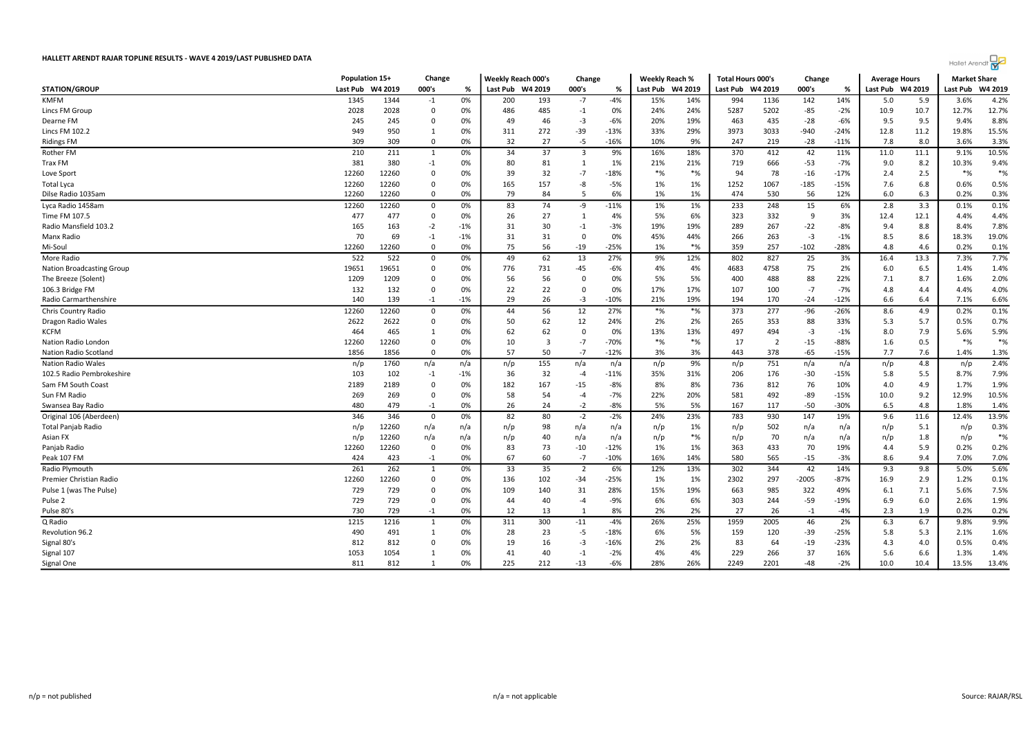|                                  | Population 15+ |         | Change      |       | <b>Weekly Reach 000's</b> |     | Change         |        | Weekly Reach % |         | <b>Total Hours 000's</b> |                | Change  |        | <b>Average Hours</b> |         | <b>Market Share</b> |         |
|----------------------------------|----------------|---------|-------------|-------|---------------------------|-----|----------------|--------|----------------|---------|--------------------------|----------------|---------|--------|----------------------|---------|---------------------|---------|
| <b>STATION/GROUP</b>             | Last Pub       | W4 2019 | 000's       | %     | Last Pub W4 2019          |     | 000's          | %      | Last Pub       | W4 2019 | Last Pub                 | W4 2019        | 000's   | %      | Last Pub             | W4 2019 | Last Pub            | W4 2019 |
| <b>KMFM</b>                      | 1345           | 1344    | $-1$        | 0%    | 200                       | 193 | -7             | $-4%$  | 15%            | 14%     | 994                      | 1136           | 142     | 14%    | 5.0                  | 5.9     | 3.6%                | 4.2%    |
| Lincs FM Group                   | 2028           | 2028    | $\mathbf 0$ | 0%    | 486                       | 485 | $-1$           | 0%     | 24%            | 24%     | 5287                     | 5202           | -85     | $-2%$  | 10.9                 | 10.7    | 12.7%               | 12.7%   |
| Dearne FM                        | 245            | 245     | $\mathbf 0$ | 0%    | 49                        | 46  | $-3$           | $-6%$  | 20%            | 19%     | 463                      | 435            | $-28$   | $-6%$  | 9.5                  | 9.5     | 9.4%                | 8.8%    |
| Lincs FM 102.2                   | 949            | 950     | 1           | 0%    | 311                       | 272 | $-39$          | $-13%$ | 33%            | 29%     | 3973                     | 3033           | $-940$  | $-24%$ | 12.8                 | 11.2    | 19.8%               | 15.5%   |
| <b>Ridings FM</b>                | 309            | 309     | $^{\circ}$  | 0%    | 32                        | 27  | -5             | $-16%$ | 10%            | 9%      | 247                      | 219            | $-28$   | $-11%$ | 7.8                  | 8.0     | 3.6%                | 3.3%    |
| Rother FM                        | 210            | 211     | 1           | 0%    | 34                        | 37  | 3              | 9%     | 16%            | 18%     | 370                      | 412            | 42      | 11%    | 11.0                 | 11.1    | 9.1%                | 10.5%   |
| <b>Trax FM</b>                   | 381            | 380     | $-1$        | 0%    | 80                        | 81  | 1              | 1%     | 21%            | 21%     | 719                      | 666            | -53     | $-7%$  | 9.0                  | 8.2     | 10.3%               | 9.4%    |
| Love Sport                       | 12260          | 12260   | $\Omega$    | 0%    | 39                        | 32  | $-7$           | $-18%$ | $*$ %          | $*$ %   | 94                       | 78             | $-16$   | $-17%$ | 2.4                  | 2.5     | $*_{\%}$            | $*$ %   |
| Total Lyca                       | 12260          | 12260   | $\mathbf 0$ | 0%    | 165                       | 157 | -8             | $-5%$  | 1%             | 1%      | 1252                     | 1067           | $-185$  | $-15%$ | 7.6                  | 6.8     | 0.6%                | 0.5%    |
| Dilse Radio 1035am               | 12260          | 12260   | $\Omega$    | 0%    | 79                        | 84  | 5              | 6%     | 1%             | 1%      | 474                      | 530            | 56      | 12%    | 6.0                  | 6.3     | 0.2%                | 0.3%    |
| Lyca Radio 1458am                | 12260          | 12260   | 0           | 0%    | 83                        | 74  | -9             | $-11%$ | 1%             | 1%      | 233                      | 248            | 15      | 6%     | 2.8                  | 3.3     | 0.1%                | 0.1%    |
| Time FM 107.5                    | 477            | 477     | 0           | 0%    | 26                        | 27  | 1              | 4%     | 5%             | 6%      | 323                      | 332            | -9      | 3%     | 12.4                 | 12.1    | 4.4%                | 4.4%    |
| Radio Mansfield 103.2            | 165            | 163     | $-2$        | $-1%$ | 31                        | 30  | $-1$           | $-3%$  | 19%            | 19%     | 289                      | 267            | -22     | $-8%$  | 9.4                  | 8.8     | 8.4%                | 7.8%    |
| Manx Radio                       | 70             | 69      | $-1$        | $-1%$ | 31                        | 31  | $\mathbf 0$    | 0%     | 45%            | 44%     | 266                      | 263            | -3      | $-1%$  | 8.5                  | 8.6     | 18.3%               | 19.0%   |
| Mi-Soul                          | 12260          | 12260   | $\Omega$    | 0%    | 75                        | 56  | $-19$          | $-25%$ | 1%             | $*$ %   | 359                      | 257            | $-102$  | $-28%$ | 4.8                  | 4.6     | 0.2%                | 0.1%    |
| More Radio                       | 522            | 522     | $^{\circ}$  | 0%    | 49                        | 62  | 13             | 27%    | 9%             | 12%     | 802                      | 827            | 25      | 3%     | 16.4                 | 13.3    | 7.3%                | 7.7%    |
| <b>Nation Broadcasting Group</b> | 19651          | 19651   | $^{\circ}$  | 0%    | 776                       | 731 | -45            | -6%    | 4%             | 4%      | 4683                     | 4758           | 75      | 2%     | 6.0                  | 6.5     | 1.4%                | 1.4%    |
| The Breeze (Solent)              | 1209           | 1209    | $\mathbf 0$ | 0%    | 56                        | 56  | $\mathbf 0$    | 0%     | 5%             | 5%      | 400                      | 488            | 88      | 22%    | 7.1                  | 8.7     | 1.6%                | 2.0%    |
| 106.3 Bridge FM                  | 132            | 132     | $\mathbf 0$ | 0%    | 22                        | 22  | 0              | 0%     | 17%            | 17%     | 107                      | 100            | $-7$    | $-7%$  | 4.8                  | 4.4     | 4.4%                | 4.0%    |
| Radio Carmarthenshire            | 140            | 139     | $-1$        | $-1%$ | 29                        | 26  | $-3$           | $-10%$ | 21%            | 19%     | 194                      | 170            | -24     | $-12%$ | 6.6                  | 6.4     | 7.1%                | 6.6%    |
| Chris Country Radio              | 12260          | 12260   | 0           | 0%    | 44                        | 56  | 12             | 27%    | $*_{\%}$       | $*$ %   | 373                      | 277            | $-96$   | $-26%$ | 8.6                  | 4.9     | 0.2%                | 0.1%    |
| Dragon Radio Wales               | 2622           | 2622    | $\Omega$    | 0%    | 50                        | 62  | 12             | 24%    | 2%             | 2%      | 265                      | 353            | 88      | 33%    | 5.3                  | 5.7     | 0.5%                | 0.7%    |
| <b>KCFM</b>                      | 464            | 465     | 1           | 0%    | 62                        | 62  | $\mathbf 0$    | 0%     | 13%            | 13%     | 497                      | 494            | -3      | $-1%$  | 8.0                  | 7.9     | 5.6%                | 5.9%    |
| Nation Radio London              | 12260          | 12260   | $\Omega$    | 0%    | 10                        | 3   | $-7$           | $-70%$ | $*_{\%}$       | $*$ %   | 17                       | $\overline{2}$ | $-15$   | $-88%$ | 1.6                  | 0.5     | $*_{\%}$            | $*$ %   |
| Nation Radio Scotland            | 1856           | 1856    | $\Omega$    | 0%    | 57                        | 50  | $-7$           | $-12%$ | 3%             | 3%      | 443                      | 378            | $-65$   | $-15%$ | 7.7                  | 7.6     | 1.4%                | 1.3%    |
| <b>Nation Radio Wales</b>        | n/p            | 1760    | n/a         | n/a   | n/p                       | 155 | n/a            | n/a    | n/p            | 9%      | n/p                      | 751            | n/a     | n/a    | n/p                  | 4.8     | n/p                 | 2.4%    |
| 102.5 Radio Pembrokeshire        | 103            | 102     | $-1$        | -1%   | 36                        | 32  | $-4$           | $-11%$ | 35%            | 31%     | 206                      | 176            | -30     | $-15%$ | 5.8                  | 5.5     | 8.7%                | 7.9%    |
| Sam FM South Coast               | 2189           | 2189    | $\mathbf 0$ | 0%    | 182                       | 167 | $-15$          | $-8%$  | 8%             | 8%      | 736                      | 812            | 76      | 10%    | 4.0                  | 4.9     | 1.7%                | 1.9%    |
| Sun FM Radio                     | 269            | 269     | $\Omega$    | 0%    | 58                        | 54  | $-4$           | $-7%$  | 22%            | 20%     | 581                      | 492            | -89     | $-15%$ | 10.0                 | 9.2     | 12.9%               | 10.5%   |
| Swansea Bay Radio                | 480            | 479     | $-1$        | 0%    | 26                        | 24  | $-2$           | $-8%$  | 5%             | 5%      | 167                      | 117            | $-50$   | $-30%$ | 6.5                  | 4.8     | 1.8%                | 1.4%    |
| Original 106 (Aberdeen)          | 346            | 346     | 0           | 0%    | 82                        | 80  | $-2$           | $-2%$  | 24%            | 23%     | 783                      | 930            | 147     | 19%    | 9.6                  | 11.6    | 12.4%               | 13.9%   |
| Total Panjab Radio               | n/p            | 12260   | n/a         | n/a   | n/p                       | 98  | n/a            | n/a    | n/p            | 1%      | n/p                      | 502            | n/a     | n/a    | n/p                  | 5.1     | n/p                 | 0.3%    |
| Asian FX                         | n/p            | 12260   | n/a         | n/a   | n/p                       | 40  | n/a            | n/a    | n/p            | $*$ %   | n/p                      | 70             | n/a     | n/a    | n/p                  | 1.8     | n/p                 | $*$ %   |
| Panjab Radio                     | 12260          | 12260   | $\mathbf 0$ | 0%    | 83                        | 73  | $-10$          | $-12%$ | 1%             | 1%      | 363                      | 433            | 70      | 19%    | 4.4                  | 5.9     | 0.2%                | 0.2%    |
| Peak 107 FM                      | 424            | 423     | $-1$        | 0%    | 67                        | 60  | $-7$           | $-10%$ | 16%            | 14%     | 580                      | 565            | $-15$   | $-3%$  | 8.6                  | 9.4     | 7.0%                | 7.0%    |
| Radio Plymouth                   | 261            | 262     | 1           | 0%    | 33                        | 35  | $\overline{2}$ | 6%     | 12%            | 13%     | 302                      | 344            | 42      | 14%    | 9.3                  | 9.8     | 5.0%                | 5.6%    |
| Premier Christian Radio          | 12260          | 12260   | $\mathbf 0$ | 0%    | 136                       | 102 | $-34$          | $-25%$ | 1%             | 1%      | 2302                     | 297            | $-2005$ | $-87%$ | 16.9                 | 2.9     | 1.2%                | 0.1%    |
| Pulse 1 (was The Pulse)          | 729            | 729     | $\Omega$    | 0%    | 109                       | 140 | 31             | 28%    | 15%            | 19%     | 663                      | 985            | 322     | 49%    | 6.1                  | 7.1     | 5.6%                | 7.5%    |
| Pulse 2                          | 729            | 729     | $\mathbf 0$ | 0%    | 44                        | 40  | $-4$           | $-9%$  | 6%             | 6%      | 303                      | 244            | $-59$   | $-19%$ | 6.9                  | 6.0     | 2.6%                | 1.9%    |
| Pulse 80's                       | 730            | 729     | $-1$        | 0%    | 12                        | 13  | 1              | 8%     | 2%             | 2%      | 27                       | 26             | $-1$    | $-4%$  | 2.3                  | 1.9     | 0.2%                | 0.2%    |
| Q Radio                          | 1215           | 1216    | 1           | 0%    | 311                       | 300 | $-11$          | -4%    | 26%            | 25%     | 1959                     | 2005           | 46      | 2%     | 6.3                  | 6.7     | 9.8%                | 9.9%    |
| Revolution 96.2                  | 490            | 491     | 1           | 0%    | 28                        | 23  | $-5$           | $-18%$ | 6%             | 5%      | 159                      | 120            | -39     | $-25%$ | 5.8                  | 5.3     | 2.1%                | 1.6%    |
| Signal 80's                      | 812            | 812     | $\Omega$    | 0%    | 19                        | 16  | -3             | $-16%$ | 2%             | 2%      | 83                       | 64             | -19     | $-23%$ | 4.3                  | 4.0     | 0.5%                | 0.4%    |
| Signal 107                       | 1053           | 1054    | 1           | 0%    | 41                        | 40  | $-1$           | $-2%$  | 4%             | 4%      | 229                      | 266            | 37      | 16%    | 5.6                  | 6.6     | 1.3%                | 1.4%    |
| Signal One                       | 811            | 812     | 1           | 0%    | 225                       | 212 | $-13$          | $-6%$  | 28%            | 26%     | 2249                     | 2201           | $-48$   | $-2%$  | 10.0                 | 10.4    | 13.5%               | 13.4%   |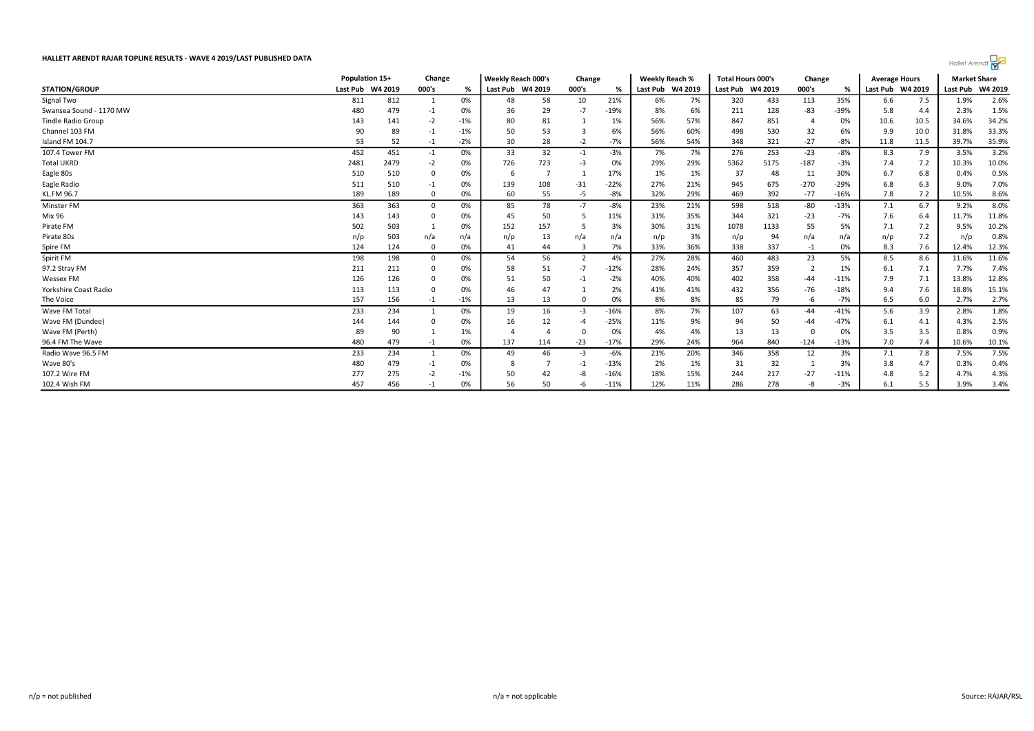

|                           | Population 15+   |      | Change      |       | <b>Weekly Reach 000's</b> |     | Change   |        | <b>Weekly Reach %</b> |     | <b>Total Hours 000's</b> |      | Change   |        | <b>Average Hours</b> |                  | <b>Market Share</b> |         |
|---------------------------|------------------|------|-------------|-------|---------------------------|-----|----------|--------|-----------------------|-----|--------------------------|------|----------|--------|----------------------|------------------|---------------------|---------|
| <b>STATION/GROUP</b>      | Last Pub W4 2019 |      | 000's       |       | Last Pub W4 2019          |     | 000's    | %      | Last Pub W4 2019      |     | Last Pub W4 2019         |      | 000's    | %      |                      | Last Pub W4 2019 | Last Pub            | W4 2019 |
| Signal Two                | 811              | 812  |             | 0%    | 48                        | 58  | 10       | 21%    | 6%                    | 7%  | 320                      | 433  | 113      | 35%    | 6.6                  | 7.5              | 1.9%                | 2.6%    |
| Swansea Sound - 1170 MW   | 480              | 479  | $-1$        | 0%    | 36                        | 29  | -7       | $-19%$ | 8%                    | 6%  | 211                      | 128  | -83      | -39%   | 5.8                  | 4.4              | 2.3%                | 1.5%    |
| <b>Tindle Radio Group</b> | 143              | 141  | $-2$        | $-1%$ | 80                        | 81  |          | 1%     | 56%                   | 57% | 847                      | 851  |          | 0%     | 10.6                 | 10.5             | 34.6%               | 34.2%   |
| Channel 103 FM            | 90               | 89   | $-1$        | $-1%$ | 50                        | 53  |          | 6%     | 56%                   | 60% | 498                      | 530  | 32       | 6%     | 9.9                  | 10.0             | 31.8%               | 33.3%   |
| Island FM 104.7           | 53               | 52   | $-1$        | $-2%$ | 30                        | 28  | $-2$     | $-7%$  | 56%                   | 54% | 348                      | 321  | $-27$    | -8%    | 11.8                 | 11.5             | 39.7%               | 35.9%   |
| 107.4 Tower FM            | 452              | 451  | $-1$        | 0%    | 33                        | 32  | $-1$     | $-3%$  | 7%                    | 7%  | 276                      | 253  | $-23$    | -8%    | 8.3                  | 7.9              | 3.5%                | 3.2%    |
| <b>Total UKRD</b>         | 2481             | 2479 | $-2$        | 0%    | 726                       | 723 | -3       | 0%     | 29%                   | 29% | 5362                     | 5175 | $-187$   | $-3%$  | 7.4                  | 7.2              | 10.3%               | 10.0%   |
| Eagle 80s                 | 510              | 510  | $\mathbf 0$ | 0%    |                           |     |          | 17%    | 1%                    | 1%  | 37                       | 48   | 11       | 30%    | 6.7                  | 6.8              | 0.4%                | 0.5%    |
| Eagle Radio               | 511              | 510  | $-1$        | 0%    | 139                       | 108 | $-31$    | $-22%$ | 27%                   | 21% | 945                      | 675  | $-270$   | $-29%$ | 6.8                  | 6.3              | 9.0%                | 7.0%    |
| KL.FM 96.7                | 189              | 189  | 0           | 0%    | 60                        | 55  | $-5$     | -8%    | 32%                   | 29% | 469                      | 392  | $-77$    | $-16%$ | 7.8                  | 7.2              | 10.5%               | 8.6%    |
| Minster FM                | 363              | 363  | 0           | 0%    | 85                        | 78  | $-7$     | -8%    | 23%                   | 21% | 598                      | 518  | -80      | $-13%$ | 7.1                  | 6.7              | 9.2%                | 8.0%    |
| Mix 96                    | 143              | 143  | $\Omega$    | 0%    | 45                        | 50  |          | 11%    | 31%                   | 35% | 344                      | 321  | $-23$    | $-7%$  | 7.6                  | 6.4              | 11.7%               | 11.8%   |
| Pirate FM                 | 502              | 503  |             | 0%    | 152                       | 157 |          | 3%     | 30%                   | 31% | 1078                     | 1133 | 55       | 5%     | 7.1                  | 7.2              | 9.5%                | 10.2%   |
| Pirate 80s                | n/p              | 503  | n/a         | n/a   | n/p                       | 13  | n/a      | n/a    | n/p                   | 3%  | n/p                      | 94   | n/a      | n/a    | n/p                  | 7.2              | n/p                 | 0.8%    |
| Spire FM                  | 124              | 124  | 0           | 0%    | 41                        | 44  | 3        | 7%     | 33%                   | 36% | 338                      | 337  | $-1$     | 0%     | 8.3                  | 7.6              | 12.4%               | 12.3%   |
| Spirit FM                 | 198              | 198  | $^{\circ}$  |       | 54                        | 56  |          | 4%     | 27%                   | 28% | 460                      | 483  | 23       | 5%     | 8.5                  | 8.6              | 11.6%               | 11.6%   |
| 97.2 Stray FM             | 211              | 211  | 0           | 0%    | 58                        | 51  | -7       | $-12%$ | 28%                   | 24% | 357                      | 359  |          | 1%     | 6.1                  | 7.1              | 7.7%                | 7.4%    |
| <b>Wessex FM</b>          | 126              | 126  | 0           | 0%    | 51                        | 50  | $-1$     | $-2%$  | 40%                   | 40% | 402                      | 358  | $-44$    | $-11%$ | 7.9                  | 7.1              | 13.8%               | 12.8%   |
| Yorkshire Coast Radio     | 113              | 113  | 0           | 0%    | 46                        | 47  |          | 2%     | 41%                   | 41% | 432                      | 356  | $-76$    | $-18%$ | 9.4                  | 7.6              | 18.8%               | 15.1%   |
| The Voice                 | 157              | 156  | $-1$        | $-1%$ | 13                        | 13  | $\Omega$ | 0%     | 8%                    | 8%  | 85                       | 79   | -6       | $-7%$  | 6.5                  | 6.0              | 2.7%                | 2.7%    |
| Wave FM Total             | 233              | 234  |             | 0%    | 19                        | 16  | -3       | $-16%$ | 8%                    | 7%  | 107                      | 63   | -44      | $-41%$ | 5.6                  | 3.9              | 2.8%                | 1.8%    |
| Wave FM (Dundee)          | 144              | 144  | $\Omega$    | 0%    | 16                        | 12  |          | $-25%$ | 11%                   | 9%  | 94                       | 50   | -44      | $-47%$ | 6.1                  | 4.1              | 4.3%                | 2.5%    |
| Wave FM (Perth)           | 89               | 90   |             | 1%    |                           |     | $\Omega$ | 0%     | 4%                    | 4%  | 13                       | 13   | $\Omega$ | 0%     | 3.5                  | 3.5              | 0.8%                | 0.9%    |
| 96.4 FM The Wave          | 480              | 479  | $-1$        | 0%    | 137                       | 114 | $-23$    | $-17%$ | 29%                   | 24% | 964                      | 840  | $-124$   | $-13%$ | 7.0                  | 7.4              | 10.6%               | 10.1%   |
| Radio Wave 96.5 FM        | 233              | 234  | 1           | 0%    | 49                        | 46  | -3       | -6%    | 21%                   | 20% | 346                      | 358  | 12       | 3%     | 7.1                  | 7.8              | 7.5%                | 7.5%    |
| Wave 80's                 | 480              | 479  | $-1$        | 0%    |                           |     | $-1$     | $-13%$ | 2%                    | 1%  | 31                       | 32   |          | 3%     | 3.8                  | 4.7              | 0.3%                | 0.4%    |
| 107.2 Wire FM             | 277              | 275  | -2          | -1%   | 50                        | 42  | -8       | $-16%$ | 18%                   | 15% | 244                      | 217  | -27      | $-11%$ | 4.8                  | 5.2              | 4.7%                | 4.3%    |
| 102.4 Wish FM             | 457              | 456  | $-1$        | 0%    | 56                        | 50  | -6       | $-11%$ | 12%                   | 11% | 286                      | 278  | -8       | $-3%$  | 6.1                  | 5.5              | 3.9%                | 3.4%    |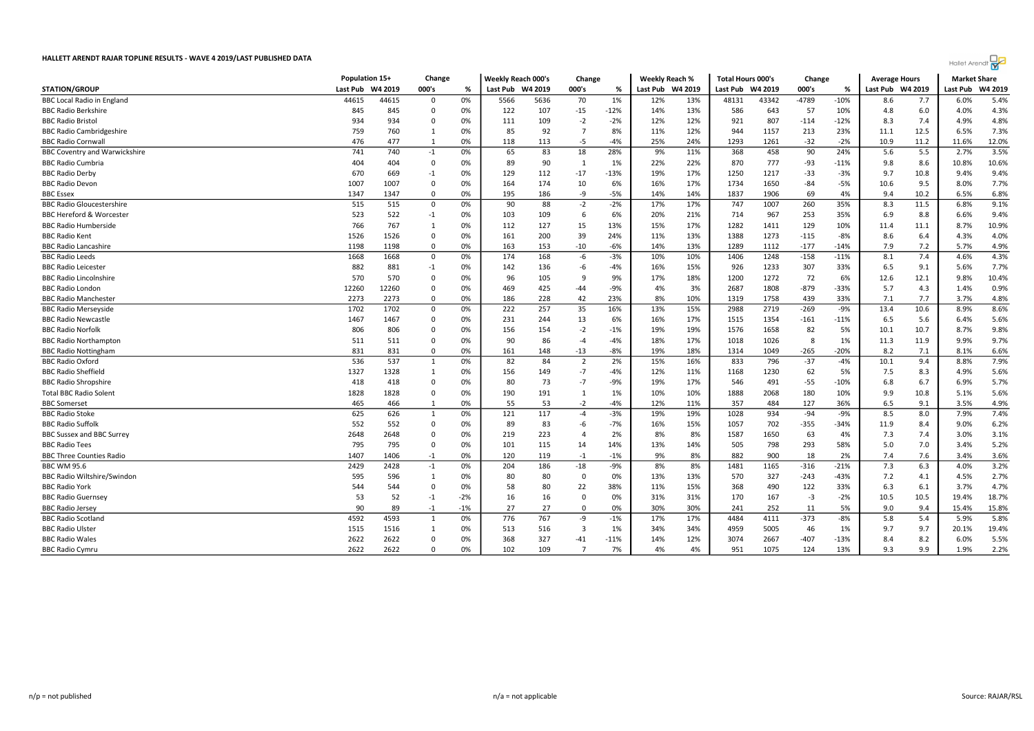|                                      | Population 15+ |         | Change      |       | <b>Weekly Reach 000's</b> |         | Change         |        | <b>Weekly Reach %</b> |         | <b>Total Hours 000's</b> |         | Change  |        | <b>Average Hours</b> |         | <b>Market Share</b> |         |
|--------------------------------------|----------------|---------|-------------|-------|---------------------------|---------|----------------|--------|-----------------------|---------|--------------------------|---------|---------|--------|----------------------|---------|---------------------|---------|
| <b>STATION/GROUP</b>                 | Last Pub       | W4 2019 | 000's       | %     | Last Pub                  | W4 2019 | 000's          | %      | Last Pub              | W4 2019 | Last Pub                 | W4 2019 | 000's   | %      | Last Pub             | W4 2019 | Last Pub            | W4 2019 |
| <b>BBC Local Radio in England</b>    | 44615          | 44615   | 0           | 0%    | 5566                      | 5636    | 70             | 1%     | 12%                   | 13%     | 48131                    | 43342   | $-4789$ | $-10%$ | 8.6                  | 7.7     | 6.0%                | 5.4%    |
| <b>BBC Radio Berkshire</b>           | 845            | 845     | $\Omega$    | 0%    | 122                       | 107     | $-15$          | $-12%$ | 14%                   | 13%     | 586                      | 643     | 57      | 10%    | 4.8                  | 6.0     | 4.0%                | 4.3%    |
| <b>BBC Radio Bristol</b>             | 934            | 934     | $\Omega$    | 0%    | 111                       | 109     | $-2$           | $-2%$  | 12%                   | 12%     | 921                      | 807     | $-114$  | $-12%$ | 8.3                  | 7.4     | 4.9%                | 4.8%    |
| <b>BBC Radio Cambridgeshire</b>      | 759            | 760     | 1           | 0%    | 85                        | 92      | $\overline{7}$ | 8%     | 11%                   | 12%     | 944                      | 1157    | 213     | 23%    | 11.1                 | 12.5    | 6.5%                | 7.3%    |
| <b>BBC Radio Cornwall</b>            | 476            | 477     | 1           | 0%    | 118                       | 113     | $-5$           | $-4%$  | 25%                   | 24%     | 1293                     | 1261    | $-32$   | $-2%$  | 10.9                 | 11.2    | 11.6%               | 12.0%   |
| <b>BBC Coventry and Warwickshire</b> | 741            | 740     | $-1$        | 0%    | 65                        | 83      | 18             | 28%    | 9%                    | 11%     | 368                      | 458     | 90      | 24%    | 5.6                  | 5.5     | 2.7%                | 3.5%    |
| <b>BBC Radio Cumbria</b>             | 404            | 404     | $\mathbf 0$ | 0%    | 89                        | 90      | $\overline{1}$ | 1%     | 22%                   | 22%     | 870                      | 777     | $-93$   | $-11%$ | 9.8                  | 8.6     | 10.8%               | 10.6%   |
| <b>BBC Radio Derby</b>               | 670            | 669     | $-1$        | 0%    | 129                       | 112     | $-17$          | $-13%$ | 19%                   | 17%     | 1250                     | 1217    | $-33$   | $-3%$  | 9.7                  | 10.8    | 9.4%                | 9.4%    |
| <b>BBC Radio Devon</b>               | 1007           | 1007    | $\Omega$    | 0%    | 164                       | 174     | 10             | 6%     | 16%                   | 17%     | 1734                     | 1650    | $-84$   | $-5%$  | 10.6                 | 9.5     | 8.0%                | 7.7%    |
| <b>BBC</b> Essex                     | 1347           | 1347    | $\Omega$    | 0%    | 195                       | 186     | -9             | $-5%$  | 14%                   | 14%     | 1837                     | 1906    | 69      | 4%     | 9.4                  | 10.2    | 6.5%                | 6.8%    |
| <b>BBC Radio Gloucestershire</b>     | 515            | 515     | 0           | 0%    | 90                        | 88      | $-2$           | $-2%$  | 17%                   | 17%     | 747                      | 1007    | 260     | 35%    | 8.3                  | 11.5    | 6.8%                | 9.1%    |
| <b>BBC Hereford &amp; Worcester</b>  | 523            | 522     | $-1$        | 0%    | 103                       | 109     | 6              | 6%     | 20%                   | 21%     | 714                      | 967     | 253     | 35%    | 6.9                  | 8.8     | 6.6%                | 9.4%    |
| <b>BBC Radio Humberside</b>          | 766            | 767     | -1          | 0%    | 112                       | 127     | 15             | 13%    | 15%                   | 17%     | 1282                     | 1411    | 129     | 10%    | 11.4                 | 11.1    | 8.7%                | 10.9%   |
| <b>BBC Radio Kent</b>                | 1526           | 1526    | $\Omega$    | 0%    | 161                       | 200     | 39             | 24%    | 11%                   | 13%     | 1388                     | 1273    | $-115$  | $-8%$  | 8.6                  | 6.4     | 4.3%                | 4.0%    |
| <b>BBC Radio Lancashire</b>          | 1198           | 1198    | $\Omega$    | 0%    | 163                       | 153     | $-10$          | $-6%$  | 14%                   | 13%     | 1289                     | 1112    | $-177$  | $-14%$ | 7.9                  | 7.2     | 5.7%                | 4.9%    |
| <b>BBC Radio Leeds</b>               | 1668           | 1668    | 0           | 0%    | 174                       | 168     | $-6$           | $-3%$  | 10%                   | 10%     | 1406                     | 1248    | $-158$  | $-11%$ | 8.1                  | 7.4     | 4.6%                | 4.3%    |
| <b>BBC Radio Leicester</b>           | 882            | 881     | $-1$        | 0%    | 142                       | 136     | $-6$           | $-4%$  | 16%                   | 15%     | 926                      | 1233    | 307     | 33%    | 6.5                  | 9.1     | 5.6%                | 7.7%    |
| <b>BBC Radio Lincolnshire</b>        | 570            | 570     | $\Omega$    | 0%    | 96                        | 105     | 9              | 9%     | 17%                   | 18%     | 1200                     | 1272    | 72      | 6%     | 12.6                 | 12.1    | 9.8%                | 10.4%   |
| <b>BBC Radio Londor</b>              | 12260          | 12260   | $\Omega$    | 0%    | 469                       | 425     | $-44$          | $-9%$  | 4%                    | 3%      | 2687                     | 1808    | $-879$  | -33%   | 5.7                  | 4.3     | 1.4%                | 0.9%    |
| <b>BBC Radio Manchester</b>          | 2273           | 2273    | $^{\circ}$  | 0%    | 186                       | 228     | 42             | 23%    | 8%                    | 10%     | 1319                     | 1758    | 439     | 33%    | 7.1                  | 7.7     | 3.7%                | 4.8%    |
| <b>BBC Radio Merseyside</b>          | 1702           | 1702    | $\mathbf 0$ | 0%    | 222                       | 257     | 35             | 16%    | 13%                   | 15%     | 2988                     | 2719    | $-269$  | $-9%$  | 13.4                 | 10.6    | 8.9%                | 8.6%    |
| <b>BBC Radio Newcastle</b>           | 1467           | 1467    | $\Omega$    | 0%    | 231                       | 244     | 13             | 6%     | 16%                   | 17%     | 1515                     | 1354    | $-161$  | $-11%$ | 6.5                  | 5.6     | 6.4%                | 5.6%    |
| <b>BBC Radio Norfolk</b>             | 806            | 806     | $\Omega$    | 0%    | 156                       | 154     | $-2$           | $-1%$  | 19%                   | 19%     | 1576                     | 1658    | 82      | 5%     | 10.1                 | 10.7    | 8.7%                | 9.8%    |
| <b>BBC Radio Northampton</b>         | 511            | 511     | $\Omega$    | 0%    | 90                        | 86      | $-4$           | $-4%$  | 18%                   | 17%     | 1018                     | 1026    | 8       | 1%     | 11.3                 | 11.9    | 9.9%                | 9.7%    |
| <b>BBC Radio Nottingham</b>          | 831            | 831     | 0           | 0%    | 161                       | 148     | $-13$          | $-8%$  | 19%                   | 18%     | 1314                     | 1049    | $-265$  | $-20%$ | 8.2                  | 7.1     | 8.1%                | 6.6%    |
| <b>BBC Radio Oxford</b>              | 536            | 537     | 1           | 0%    | 82                        | 84      | $\overline{2}$ | 2%     | 15%                   | 16%     | 833                      | 796     | $-37$   | $-4%$  | 10.1                 | 9.4     | 8.8%                | 7.9%    |
| <b>BBC Radio Sheffield</b>           | 1327           | 1328    | -1          | 0%    | 156                       | 149     | $-7$           | $-4%$  | 12%                   | 11%     | 1168                     | 1230    | 62      | 5%     | 7.5                  | 8.3     | 4.9%                | 5.6%    |
| <b>BBC Radio Shropshire</b>          | 418            | 418     | $\Omega$    | 0%    | 80                        | 73      | $-7$           | $-9%$  | 19%                   | 17%     | 546                      | 491     | $-55$   | $-10%$ | 6.8                  | 6.7     | 6.9%                | 5.7%    |
| <b>Total BBC Radio Solent</b>        | 1828           | 1828    | $\Omega$    | 0%    | 190                       | 191     | $\mathbf{1}$   | 1%     | 10%                   | 10%     | 1888                     | 2068    | 180     | 10%    | 9.9                  | 10.8    | 5.1%                | 5.6%    |
| <b>BBC</b> Somerset                  | 465            | 466     | 1           | 0%    | 55                        | 53      | $-2$           | $-4%$  | 12%                   | 11%     | 357                      | 484     | 127     | 36%    | 6.5                  | 9.1     | 3.5%                | 4.9%    |
| <b>BBC Radio Stoke</b>               | 625            | 626     | 1           | 0%    | 121                       | 117     | $-4$           | $-3%$  | 19%                   | 19%     | 1028                     | 934     | $-94$   | $-9%$  | 8.5                  | 8.0     | 7.9%                | 7.4%    |
| <b>BBC Radio Suffolk</b>             | 552            | 552     | $\Omega$    | 0%    | 89                        | 83      | $-6$           | $-7%$  | 16%                   | 15%     | 1057                     | 702     | $-355$  | $-34%$ | 11.9                 | 8.4     | 9.0%                | 6.2%    |
| <b>BBC Sussex and BBC Surrey</b>     | 2648           | 2648    | $\Omega$    | 0%    | 219                       | 223     | $\overline{4}$ | 2%     | 8%                    | 8%      | 1587                     | 1650    | 63      | 4%     | 7.3                  | 7.4     | 3.0%                | 3.1%    |
| <b>BBC Radio Tees</b>                | 795            | 795     | $\Omega$    | 0%    | 101                       | 115     | 14             | 14%    | 13%                   | 14%     | 505                      | 798     | 293     | 58%    | 5.0                  | 7.0     | 3.4%                | 5.2%    |
| <b>BBC Three Counties Radio</b>      | 1407           | 1406    | $-1$        | 0%    | 120                       | 119     | $-1$           | $-1%$  | 9%                    | 8%      | 882                      | 900     | 18      | 2%     | 7.4                  | 7.6     | 3.4%                | 3.6%    |
| <b>BBC WM 95.6</b>                   | 2429           | 2428    | $-1$        | 0%    | 204                       | 186     | $-18$          | -9%    | 8%                    | 8%      | 1481                     | 1165    | $-316$  | $-21%$ | 7.3                  | 6.3     | 4.0%                | 3.2%    |
| <b>BBC Radio Wiltshire/Swindon</b>   | 595            | 596     | 1           | 0%    | 80                        | 80      | $\overline{0}$ | 0%     | 13%                   | 13%     | 570                      | 327     | $-243$  | $-43%$ | 7.2                  | 4.1     | 4.5%                | 2.7%    |
| <b>BBC Radio York</b>                | 544            | 544     | $\Omega$    | 0%    | 58                        | 80      | 22             | 38%    | 11%                   | 15%     | 368                      | 490     | 122     | 33%    | 6.3                  | 6.1     | 3.7%                | 4.7%    |
| <b>BBC Radio Guernsey</b>            | 53             | 52      | $-1$        | $-2%$ | 16                        | 16      | $\Omega$       | 0%     | 31%                   | 31%     | 170                      | 167     | $-3$    | $-2%$  | 10.5                 | 10.5    | 19.4%               | 18.7%   |
| <b>BBC Radio Jersey</b>              | 90             | 89      | $-1$        | $-1%$ | 27                        | 27      | $\Omega$       | 0%     | 30%                   | 30%     | 241                      | 252     | 11      | 5%     | 9.0                  | 9.4     | 15.4%               | 15.8%   |
| <b>BBC Radio Scotland</b>            | 4592           | 4593    | 1           | 0%    | 776                       | 767     | -9             | $-1%$  | 17%                   | 17%     | 4484                     | 4111    | $-373$  | $-8%$  | 5.8                  | 5.4     | 5.9%                | 5.8%    |
| <b>BBC Radio Ulster</b>              | 1515           | 1516    | 1           | 0%    | 513                       | 516     | 3              | 1%     | 34%                   | 34%     | 4959                     | 5005    | 46      | 1%     | 9.7                  | 9.7     | 20.1%               | 19.4%   |
| <b>BBC Radio Wales</b>               | 2622           | 2622    | $\Omega$    | 0%    | 368                       | 327     | $-41$          | $-11%$ | 14%                   | 12%     | 3074                     | 2667    | $-407$  | $-13%$ | 8.4                  | 8.2     | 6.0%                | 5.5%    |
| <b>BBC Radio Cymru</b>               | 2622           | 2622    | $\Omega$    | 0%    | 102                       | 109     | $\overline{7}$ | 7%     | 4%                    | 4%      | 951                      | 1075    | 124     | 13%    | 9.3                  | 9.9     | 1.9%                | 2.2%    |